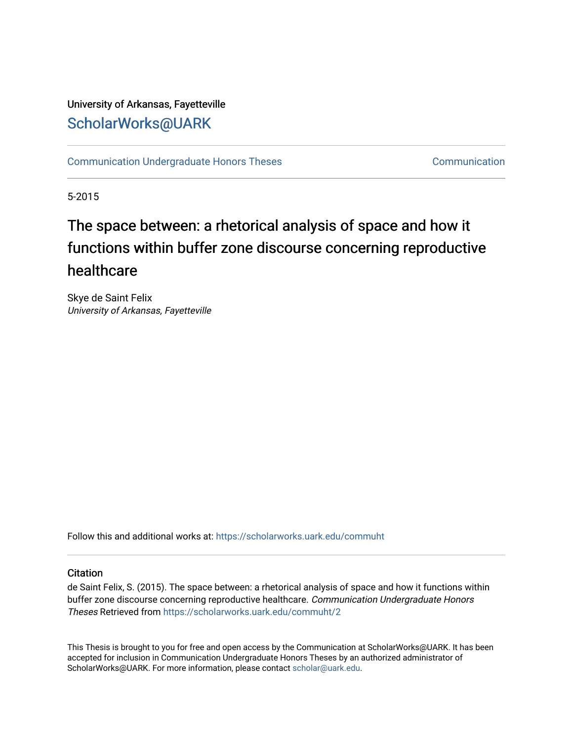## University of Arkansas, Fayetteville [ScholarWorks@UARK](https://scholarworks.uark.edu/)

[Communication Undergraduate Honors Theses](https://scholarworks.uark.edu/commuht) [Communication](https://scholarworks.uark.edu/comm) Communication

5-2015

# The space between: a rhetorical analysis of space and how it functions within buffer zone discourse concerning reproductive healthcare

Skye de Saint Felix University of Arkansas, Fayetteville

Follow this and additional works at: [https://scholarworks.uark.edu/commuht](https://scholarworks.uark.edu/commuht?utm_source=scholarworks.uark.edu%2Fcommuht%2F2&utm_medium=PDF&utm_campaign=PDFCoverPages) 

## **Citation**

de Saint Felix, S. (2015). The space between: a rhetorical analysis of space and how it functions within buffer zone discourse concerning reproductive healthcare. Communication Undergraduate Honors Theses Retrieved from [https://scholarworks.uark.edu/commuht/2](https://scholarworks.uark.edu/commuht/2?utm_source=scholarworks.uark.edu%2Fcommuht%2F2&utm_medium=PDF&utm_campaign=PDFCoverPages)

This Thesis is brought to you for free and open access by the Communication at ScholarWorks@UARK. It has been accepted for inclusion in Communication Undergraduate Honors Theses by an authorized administrator of ScholarWorks@UARK. For more information, please contact [scholar@uark.edu](mailto:scholar@uark.edu).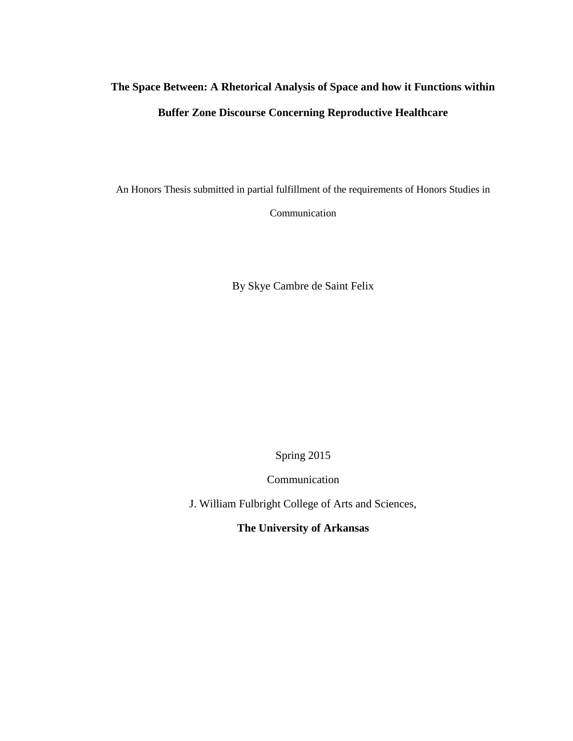## **The Space Between: A Rhetorical Analysis of Space and how it Functions within Buffer Zone Discourse Concerning Reproductive Healthcare**

An Honors Thesis submitted in partial fulfillment of the requirements of Honors Studies in

Communication

By Skye Cambre de Saint Felix

Spring 2015

Communication

J. William Fulbright College of Arts and Sciences,

**The University of Arkansas**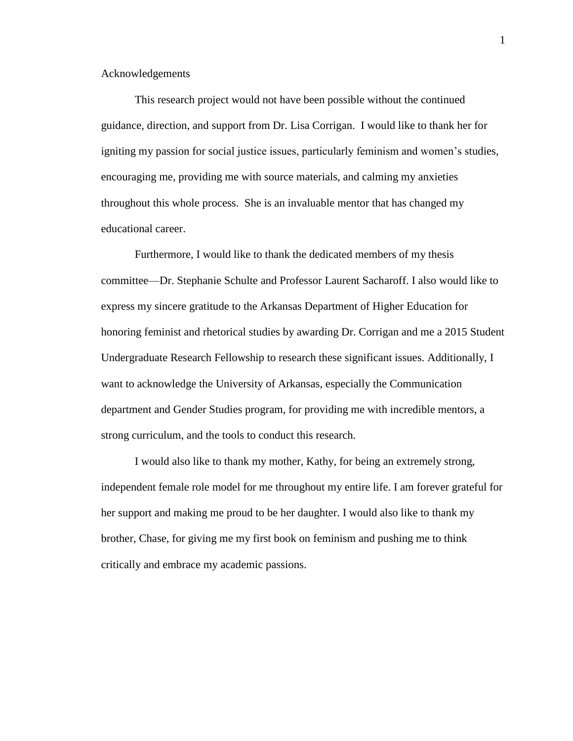Acknowledgements

This research project would not have been possible without the continued guidance, direction, and support from Dr. Lisa Corrigan. I would like to thank her for igniting my passion for social justice issues, particularly feminism and women's studies, encouraging me, providing me with source materials, and calming my anxieties throughout this whole process. She is an invaluable mentor that has changed my educational career.

Furthermore, I would like to thank the dedicated members of my thesis committee—Dr. Stephanie Schulte and Professor Laurent Sacharoff. I also would like to express my sincere gratitude to the Arkansas Department of Higher Education for honoring feminist and rhetorical studies by awarding Dr. Corrigan and me a 2015 Student Undergraduate Research Fellowship to research these significant issues. Additionally, I want to acknowledge the University of Arkansas, especially the Communication department and Gender Studies program, for providing me with incredible mentors, a strong curriculum, and the tools to conduct this research.

I would also like to thank my mother, Kathy, for being an extremely strong, independent female role model for me throughout my entire life. I am forever grateful for her support and making me proud to be her daughter. I would also like to thank my brother, Chase, for giving me my first book on feminism and pushing me to think critically and embrace my academic passions.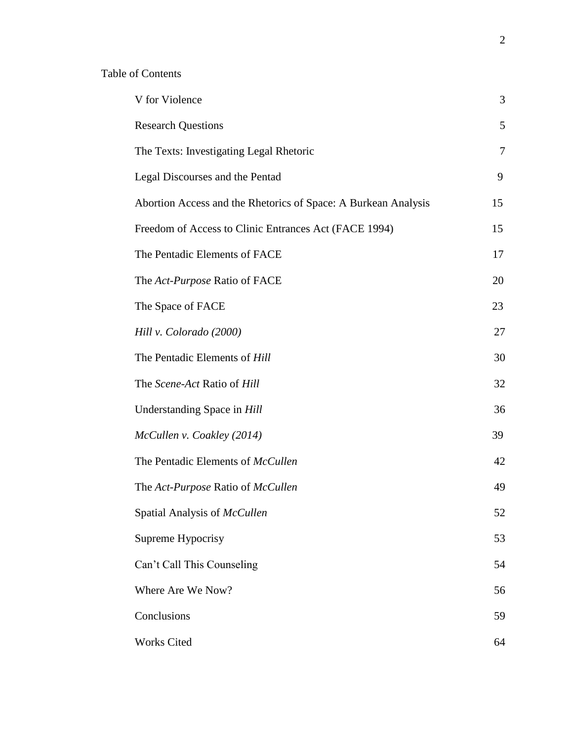## Table of Contents

| V for Violence                                                 | 3  |
|----------------------------------------------------------------|----|
| <b>Research Questions</b>                                      | 5  |
| The Texts: Investigating Legal Rhetoric                        | 7  |
| Legal Discourses and the Pentad                                | 9  |
| Abortion Access and the Rhetorics of Space: A Burkean Analysis | 15 |
| Freedom of Access to Clinic Entrances Act (FACE 1994)          | 15 |
| The Pentadic Elements of FACE                                  | 17 |
| The Act-Purpose Ratio of FACE                                  | 20 |
| The Space of FACE                                              | 23 |
| Hill v. Colorado (2000)                                        | 27 |
| The Pentadic Elements of Hill                                  | 30 |
| The Scene-Act Ratio of Hill                                    | 32 |
| Understanding Space in Hill                                    | 36 |
| McCullen v. Coakley (2014)                                     | 39 |
| The Pentadic Elements of McCullen                              | 42 |
| The Act-Purpose Ratio of McCullen                              | 49 |
| Spatial Analysis of McCullen                                   | 52 |
| Supreme Hypocrisy                                              | 53 |
| Can't Call This Counseling                                     | 54 |
| Where Are We Now?                                              | 56 |
| Conclusions                                                    | 59 |
| <b>Works Cited</b>                                             | 64 |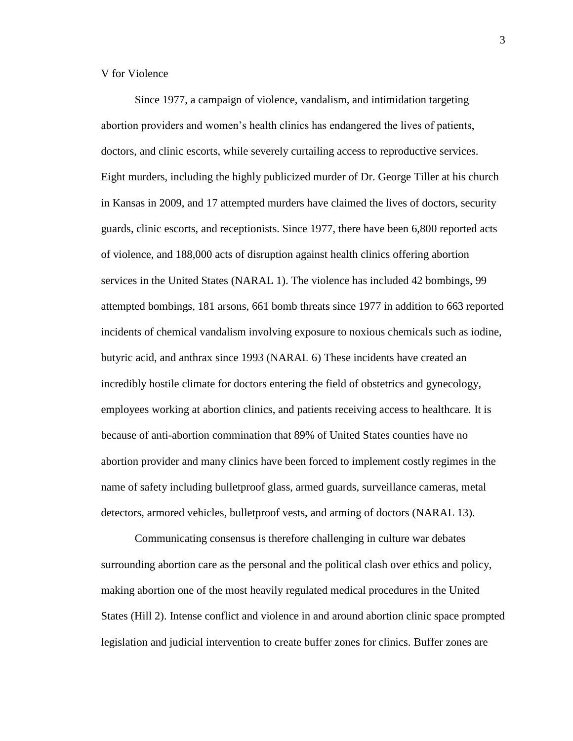V for Violence

Since 1977, a campaign of violence, vandalism, and intimidation targeting abortion providers and women's health clinics has endangered the lives of patients, doctors, and clinic escorts, while severely curtailing access to reproductive services. Eight murders, including the highly publicized murder of Dr. George Tiller at his church in Kansas in 2009, and 17 attempted murders have claimed the lives of doctors, security guards, clinic escorts, and receptionists. Since 1977, there have been 6,800 reported acts of violence, and 188,000 acts of disruption against health clinics offering abortion services in the United States (NARAL 1). The violence has included 42 bombings, 99 attempted bombings, 181 arsons, 661 bomb threats since 1977 in addition to 663 reported incidents of chemical vandalism involving exposure to noxious chemicals such as iodine, butyric acid, and anthrax since 1993 (NARAL 6) These incidents have created an incredibly hostile climate for doctors entering the field of obstetrics and gynecology, employees working at abortion clinics, and patients receiving access to healthcare. It is because of anti-abortion commination that 89% of United States counties have no abortion provider and many clinics have been forced to implement costly regimes in the name of safety including bulletproof glass, armed guards, surveillance cameras, metal detectors, armored vehicles, bulletproof vests, and arming of doctors (NARAL 13).

Communicating consensus is therefore challenging in culture war debates surrounding abortion care as the personal and the political clash over ethics and policy, making abortion one of the most heavily regulated medical procedures in the United States (Hill 2). Intense conflict and violence in and around abortion clinic space prompted legislation and judicial intervention to create buffer zones for clinics. Buffer zones are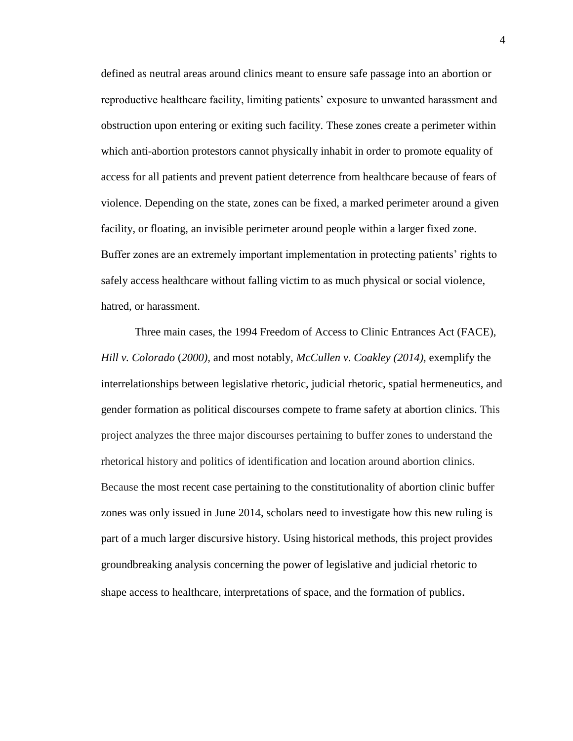defined as neutral areas around clinics meant to ensure safe passage into an abortion or reproductive healthcare facility, limiting patients' exposure to unwanted harassment and obstruction upon entering or exiting such facility. These zones create a perimeter within which anti-abortion protestors cannot physically inhabit in order to promote equality of access for all patients and prevent patient deterrence from healthcare because of fears of violence. Depending on the state, zones can be fixed, a marked perimeter around a given facility, or floating, an invisible perimeter around people within a larger fixed zone. Buffer zones are an extremely important implementation in protecting patients' rights to safely access healthcare without falling victim to as much physical or social violence, hatred, or harassment.

Three main cases, the 1994 Freedom of Access to Clinic Entrances Act (FACE), *Hill v. Colorado* (*2000),* and most notably, *McCullen v. Coakley (2014),* exemplify the interrelationships between legislative rhetoric, judicial rhetoric, spatial hermeneutics, and gender formation as political discourses compete to frame safety at abortion clinics. This project analyzes the three major discourses pertaining to buffer zones to understand the rhetorical history and politics of identification and location around abortion clinics. Because the most recent case pertaining to the constitutionality of abortion clinic buffer zones was only issued in June 2014, scholars need to investigate how this new ruling is part of a much larger discursive history. Using historical methods, this project provides groundbreaking analysis concerning the power of legislative and judicial rhetoric to shape access to healthcare, interpretations of space, and the formation of publics.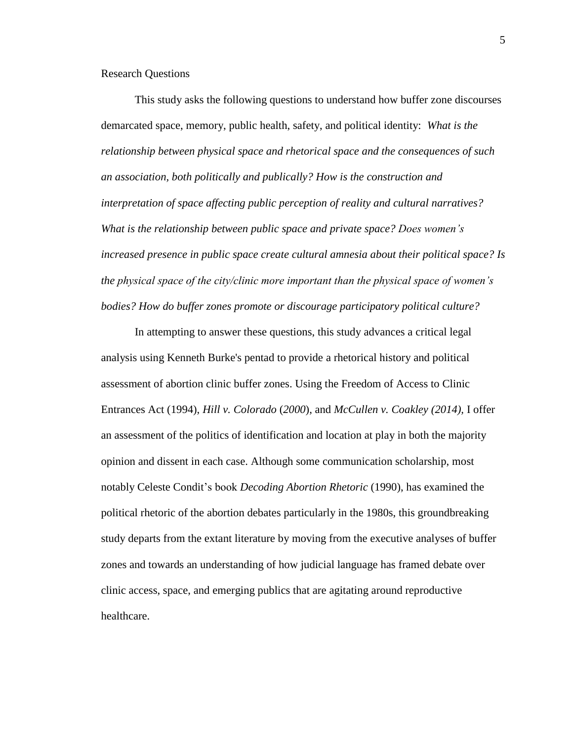Research Questions

This study asks the following questions to understand how buffer zone discourses demarcated space, memory, public health, safety, and political identity: *What is the relationship between physical space and rhetorical space and the consequences of such an association, both politically and publically? How is the construction and interpretation of space affecting public perception of reality and cultural narratives? What is the relationship between public space and private space? Does women's increased presence in public space create cultural amnesia about their political space? Is the physical space of the city/clinic more important than the physical space of women's bodies? How do buffer zones promote or discourage participatory political culture?*

In attempting to answer these questions, this study advances a critical legal analysis using Kenneth Burke's pentad to provide a rhetorical history and political assessment of abortion clinic buffer zones. Using the Freedom of Access to Clinic Entrances Act (1994), *Hill v. Colorado* (*2000*), and *McCullen v. Coakley (2014),* I offer an assessment of the politics of identification and location at play in both the majority opinion and dissent in each case. Although some communication scholarship, most notably Celeste Condit's book *Decoding Abortion Rhetoric* (1990), has examined the political rhetoric of the abortion debates particularly in the 1980s, this groundbreaking study departs from the extant literature by moving from the executive analyses of buffer zones and towards an understanding of how judicial language has framed debate over clinic access, space, and emerging publics that are agitating around reproductive healthcare.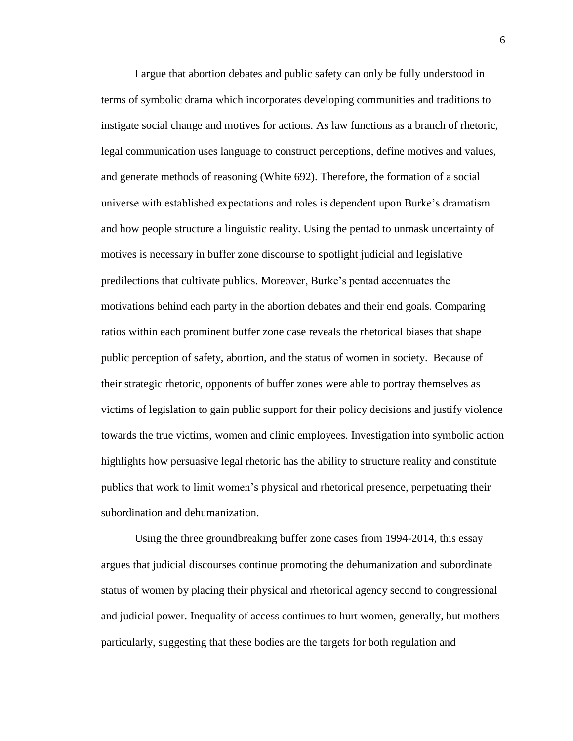I argue that abortion debates and public safety can only be fully understood in terms of symbolic drama which incorporates developing communities and traditions to instigate social change and motives for actions. As law functions as a branch of rhetoric, legal communication uses language to construct perceptions, define motives and values, and generate methods of reasoning (White 692). Therefore, the formation of a social universe with established expectations and roles is dependent upon Burke's dramatism and how people structure a linguistic reality. Using the pentad to unmask uncertainty of motives is necessary in buffer zone discourse to spotlight judicial and legislative predilections that cultivate publics. Moreover, Burke's pentad accentuates the motivations behind each party in the abortion debates and their end goals. Comparing ratios within each prominent buffer zone case reveals the rhetorical biases that shape public perception of safety, abortion, and the status of women in society. Because of their strategic rhetoric, opponents of buffer zones were able to portray themselves as victims of legislation to gain public support for their policy decisions and justify violence towards the true victims, women and clinic employees. Investigation into symbolic action highlights how persuasive legal rhetoric has the ability to structure reality and constitute publics that work to limit women's physical and rhetorical presence, perpetuating their subordination and dehumanization.

Using the three groundbreaking buffer zone cases from 1994-2014, this essay argues that judicial discourses continue promoting the dehumanization and subordinate status of women by placing their physical and rhetorical agency second to congressional and judicial power. Inequality of access continues to hurt women, generally, but mothers particularly, suggesting that these bodies are the targets for both regulation and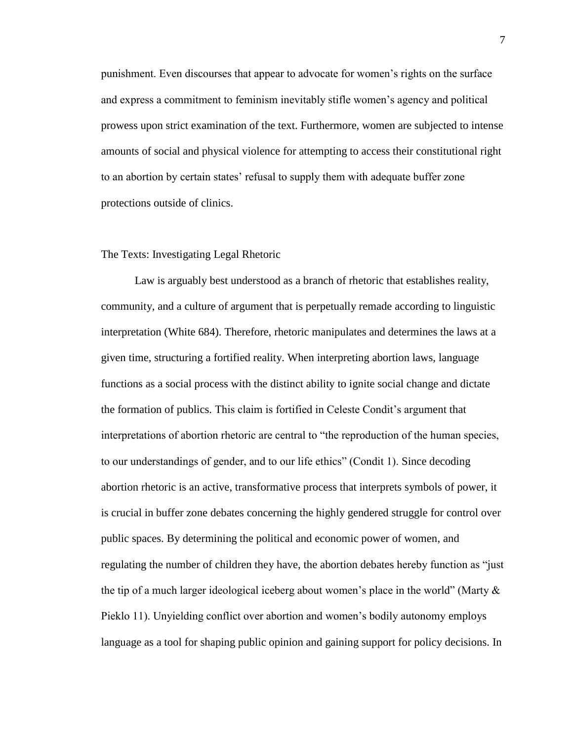punishment. Even discourses that appear to advocate for women's rights on the surface and express a commitment to feminism inevitably stifle women's agency and political prowess upon strict examination of the text. Furthermore, women are subjected to intense amounts of social and physical violence for attempting to access their constitutional right to an abortion by certain states' refusal to supply them with adequate buffer zone protections outside of clinics.

#### The Texts: Investigating Legal Rhetoric

Law is arguably best understood as a branch of rhetoric that establishes reality, community, and a culture of argument that is perpetually remade according to linguistic interpretation (White 684). Therefore, rhetoric manipulates and determines the laws at a given time, structuring a fortified reality. When interpreting abortion laws, language functions as a social process with the distinct ability to ignite social change and dictate the formation of publics. This claim is fortified in Celeste Condit's argument that interpretations of abortion rhetoric are central to "the reproduction of the human species, to our understandings of gender, and to our life ethics" (Condit 1). Since decoding abortion rhetoric is an active, transformative process that interprets symbols of power, it is crucial in buffer zone debates concerning the highly gendered struggle for control over public spaces. By determining the political and economic power of women, and regulating the number of children they have, the abortion debates hereby function as "just the tip of a much larger ideological iceberg about women's place in the world" (Marty  $\&$ Pieklo 11). Unyielding conflict over abortion and women's bodily autonomy employs language as a tool for shaping public opinion and gaining support for policy decisions. In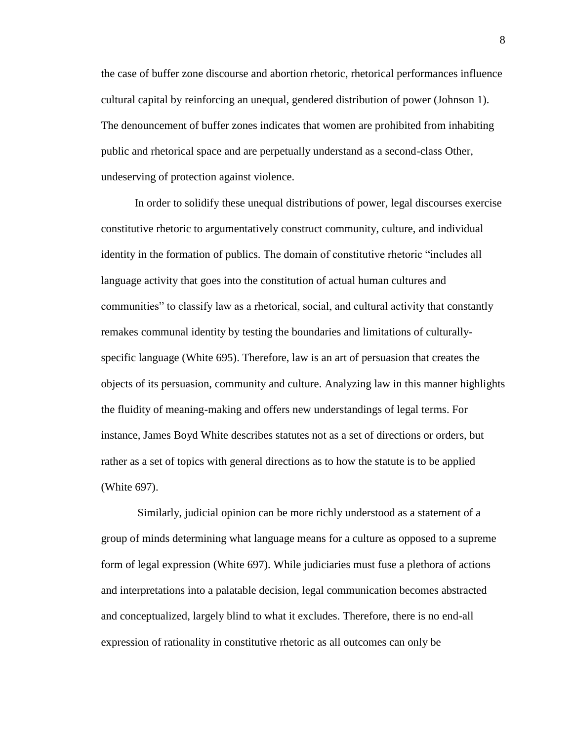the case of buffer zone discourse and abortion rhetoric, rhetorical performances influence cultural capital by reinforcing an unequal, gendered distribution of power (Johnson 1). The denouncement of buffer zones indicates that women are prohibited from inhabiting public and rhetorical space and are perpetually understand as a second-class Other, undeserving of protection against violence.

In order to solidify these unequal distributions of power, legal discourses exercise constitutive rhetoric to argumentatively construct community, culture, and individual identity in the formation of publics. The domain of constitutive rhetoric "includes all language activity that goes into the constitution of actual human cultures and communities" to classify law as a rhetorical, social, and cultural activity that constantly remakes communal identity by testing the boundaries and limitations of culturallyspecific language (White 695). Therefore, law is an art of persuasion that creates the objects of its persuasion, community and culture. Analyzing law in this manner highlights the fluidity of meaning-making and offers new understandings of legal terms. For instance, James Boyd White describes statutes not as a set of directions or orders, but rather as a set of topics with general directions as to how the statute is to be applied (White 697).

Similarly, judicial opinion can be more richly understood as a statement of a group of minds determining what language means for a culture as opposed to a supreme form of legal expression (White 697). While judiciaries must fuse a plethora of actions and interpretations into a palatable decision, legal communication becomes abstracted and conceptualized, largely blind to what it excludes. Therefore, there is no end-all expression of rationality in constitutive rhetoric as all outcomes can only be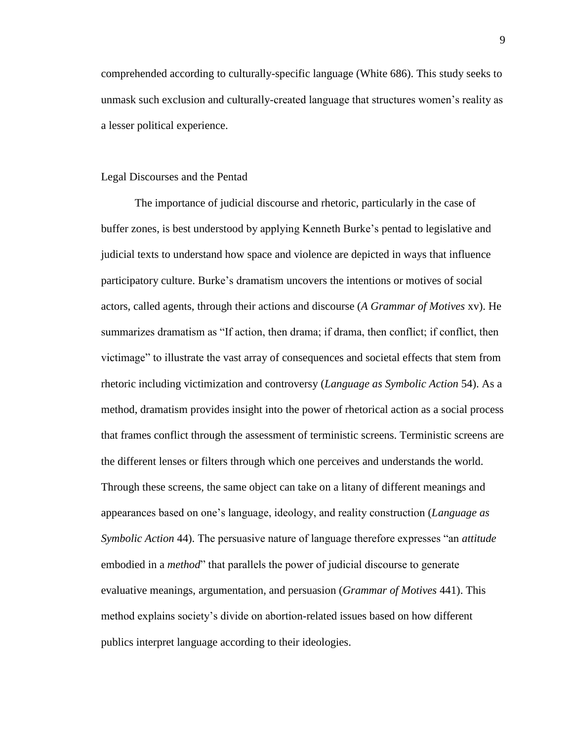comprehended according to culturally-specific language (White 686). This study seeks to unmask such exclusion and culturally-created language that structures women's reality as a lesser political experience.

## Legal Discourses and the Pentad

The importance of judicial discourse and rhetoric, particularly in the case of buffer zones, is best understood by applying Kenneth Burke's pentad to legislative and judicial texts to understand how space and violence are depicted in ways that influence participatory culture. Burke's dramatism uncovers the intentions or motives of social actors, called agents, through their actions and discourse (*A Grammar of Motives* xv). He summarizes dramatism as "If action, then drama; if drama, then conflict; if conflict, then victimage" to illustrate the vast array of consequences and societal effects that stem from rhetoric including victimization and controversy (*Language as Symbolic Action* 54). As a method, dramatism provides insight into the power of rhetorical action as a social process that frames conflict through the assessment of terministic screens. Terministic screens are the different lenses or filters through which one perceives and understands the world. Through these screens, the same object can take on a litany of different meanings and appearances based on one's language, ideology, and reality construction (*Language as Symbolic Action* 44). The persuasive nature of language therefore expresses "an *attitude*  embodied in a *method*" that parallels the power of judicial discourse to generate evaluative meanings, argumentation, and persuasion (*Grammar of Motives* 441). This method explains society's divide on abortion-related issues based on how different publics interpret language according to their ideologies.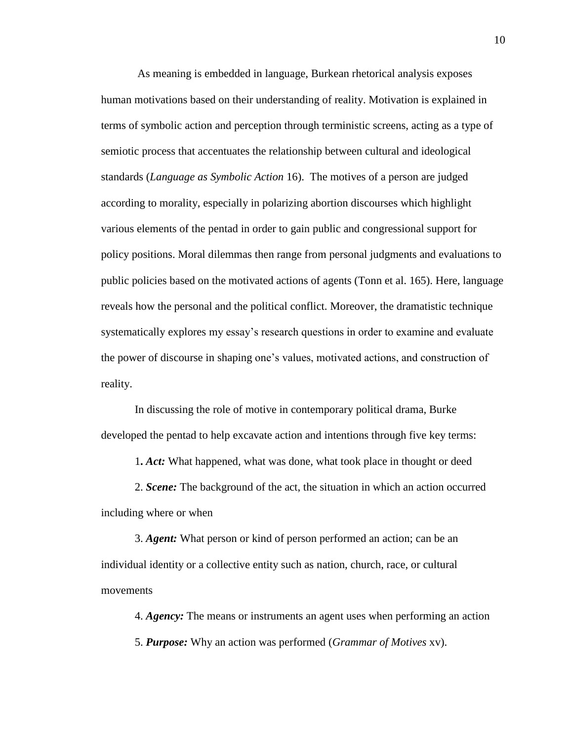As meaning is embedded in language, Burkean rhetorical analysis exposes human motivations based on their understanding of reality. Motivation is explained in terms of symbolic action and perception through terministic screens, acting as a type of semiotic process that accentuates the relationship between cultural and ideological standards (*Language as Symbolic Action* 16). The motives of a person are judged according to morality, especially in polarizing abortion discourses which highlight various elements of the pentad in order to gain public and congressional support for policy positions. Moral dilemmas then range from personal judgments and evaluations to public policies based on the motivated actions of agents (Tonn et al. 165). Here, language reveals how the personal and the political conflict. Moreover, the dramatistic technique systematically explores my essay's research questions in order to examine and evaluate the power of discourse in shaping one's values, motivated actions, and construction of reality.

In discussing the role of motive in contemporary political drama, Burke developed the pentad to help excavate action and intentions through five key terms:

1**.** *Act:* What happened, what was done, what took place in thought or deed

2. *Scene:* The background of the act, the situation in which an action occurred including where or when

3. *Agent:* What person or kind of person performed an action; can be an individual identity or a collective entity such as nation, church, race, or cultural movements

4. *Agency:* The means or instruments an agent uses when performing an action 5. *Purpose:* Why an action was performed (*Grammar of Motives* xv).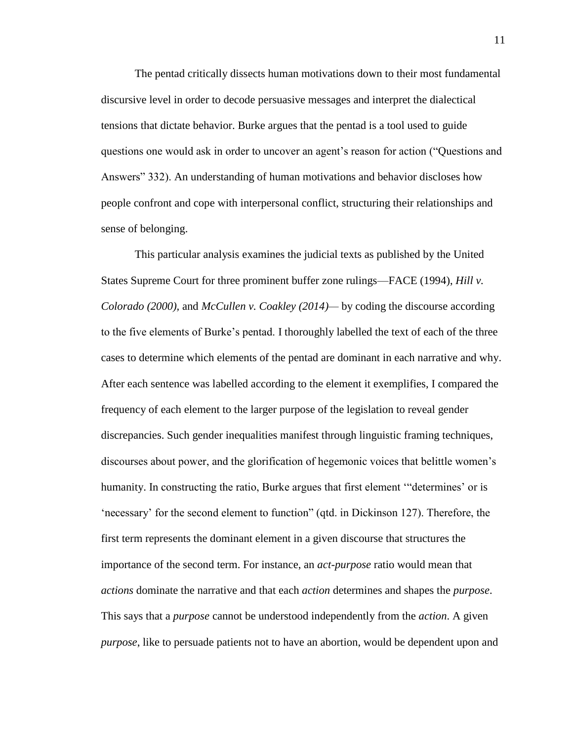The pentad critically dissects human motivations down to their most fundamental discursive level in order to decode persuasive messages and interpret the dialectical tensions that dictate behavior. Burke argues that the pentad is a tool used to guide questions one would ask in order to uncover an agent's reason for action ("Questions and Answers" 332). An understanding of human motivations and behavior discloses how people confront and cope with interpersonal conflict, structuring their relationships and sense of belonging.

This particular analysis examines the judicial texts as published by the United States Supreme Court for three prominent buffer zone rulings—FACE (1994), *Hill v. Colorado (2000),* and *McCullen v. Coakley (2014)—* by coding the discourse according to the five elements of Burke's pentad. I thoroughly labelled the text of each of the three cases to determine which elements of the pentad are dominant in each narrative and why. After each sentence was labelled according to the element it exemplifies, I compared the frequency of each element to the larger purpose of the legislation to reveal gender discrepancies. Such gender inequalities manifest through linguistic framing techniques, discourses about power, and the glorification of hegemonic voices that belittle women's humanity. In constructing the ratio, Burke argues that first element '"determines' or is 'necessary' for the second element to function" (qtd. in Dickinson 127). Therefore, the first term represents the dominant element in a given discourse that structures the importance of the second term. For instance, an *act-purpose* ratio would mean that *actions* dominate the narrative and that each *action* determines and shapes the *purpose*. This says that a *purpose* cannot be understood independently from the *action*. A given *purpose*, like to persuade patients not to have an abortion, would be dependent upon and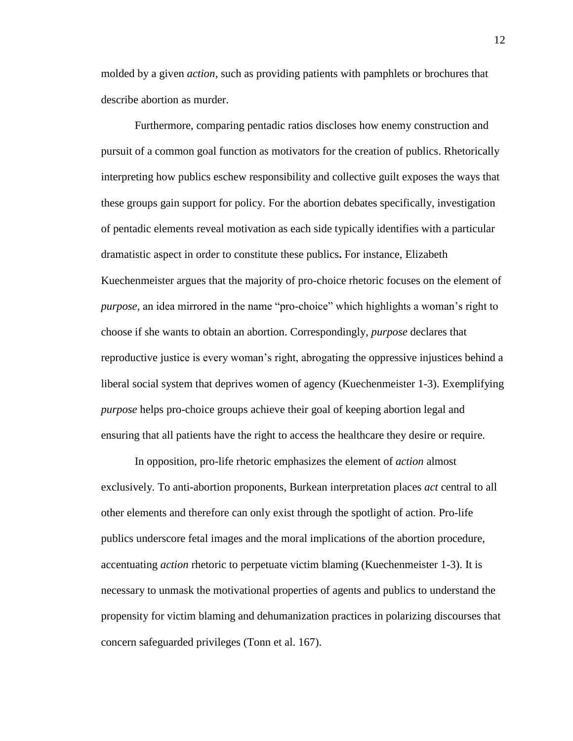molded by a given *action*, such as providing patients with pamphlets or brochures that describe abortion as murder.

Furthermore, comparing pentadic ratios discloses how enemy construction and pursuit of a common goal function as motivators for the creation of publics. Rhetorically interpreting how publics eschew responsibility and collective guilt exposes the ways that these groups gain support for policy. For the abortion debates specifically, investigation of pentadic elements reveal motivation as each side typically identifies with a particular dramatistic aspect in order to constitute these publics**.** For instance, Elizabeth Kuechenmeister argues that the majority of pro-choice rhetoric focuses on the element of *purpose,* an idea mirrored in the name "pro-choice" which highlights a woman's right to choose if she wants to obtain an abortion. Correspondingly, *purpose* declares that reproductive justice is every woman's right, abrogating the oppressive injustices behind a liberal social system that deprives women of agency (Kuechenmeister 1-3). Exemplifying *purpose* helps pro-choice groups achieve their goal of keeping abortion legal and ensuring that all patients have the right to access the healthcare they desire or require.

In opposition, pro-life rhetoric emphasizes the element of *action* almost exclusively. To anti-abortion proponents, Burkean interpretation places *act* central to all other elements and therefore can only exist through the spotlight of action. Pro-life publics underscore fetal images and the moral implications of the abortion procedure, accentuating *action* rhetoric to perpetuate victim blaming (Kuechenmeister 1-3). It is necessary to unmask the motivational properties of agents and publics to understand the propensity for victim blaming and dehumanization practices in polarizing discourses that concern safeguarded privileges (Tonn et al. 167).

12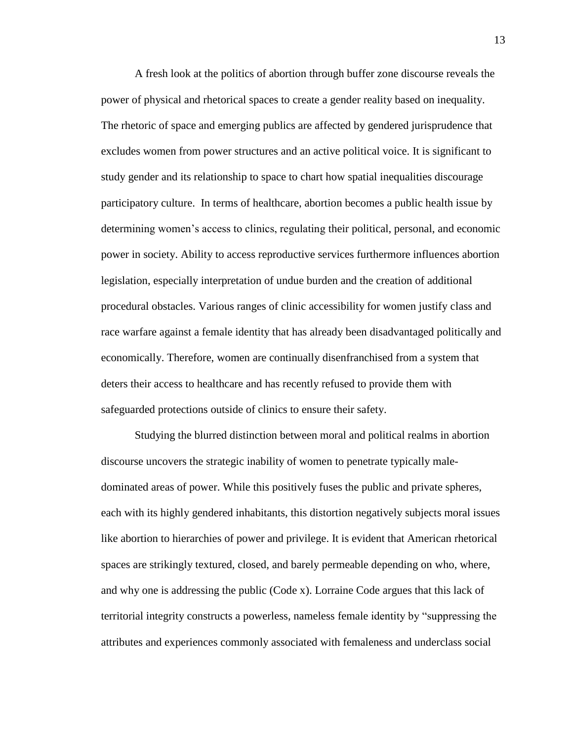A fresh look at the politics of abortion through buffer zone discourse reveals the power of physical and rhetorical spaces to create a gender reality based on inequality. The rhetoric of space and emerging publics are affected by gendered jurisprudence that excludes women from power structures and an active political voice. It is significant to study gender and its relationship to space to chart how spatial inequalities discourage participatory culture. In terms of healthcare, abortion becomes a public health issue by determining women's access to clinics, regulating their political, personal, and economic power in society. Ability to access reproductive services furthermore influences abortion legislation, especially interpretation of undue burden and the creation of additional procedural obstacles. Various ranges of clinic accessibility for women justify class and race warfare against a female identity that has already been disadvantaged politically and economically. Therefore, women are continually disenfranchised from a system that deters their access to healthcare and has recently refused to provide them with safeguarded protections outside of clinics to ensure their safety.

Studying the blurred distinction between moral and political realms in abortion discourse uncovers the strategic inability of women to penetrate typically maledominated areas of power. While this positively fuses the public and private spheres, each with its highly gendered inhabitants, this distortion negatively subjects moral issues like abortion to hierarchies of power and privilege. It is evident that American rhetorical spaces are strikingly textured, closed, and barely permeable depending on who, where, and why one is addressing the public (Code x). Lorraine Code argues that this lack of territorial integrity constructs a powerless, nameless female identity by "suppressing the attributes and experiences commonly associated with femaleness and underclass social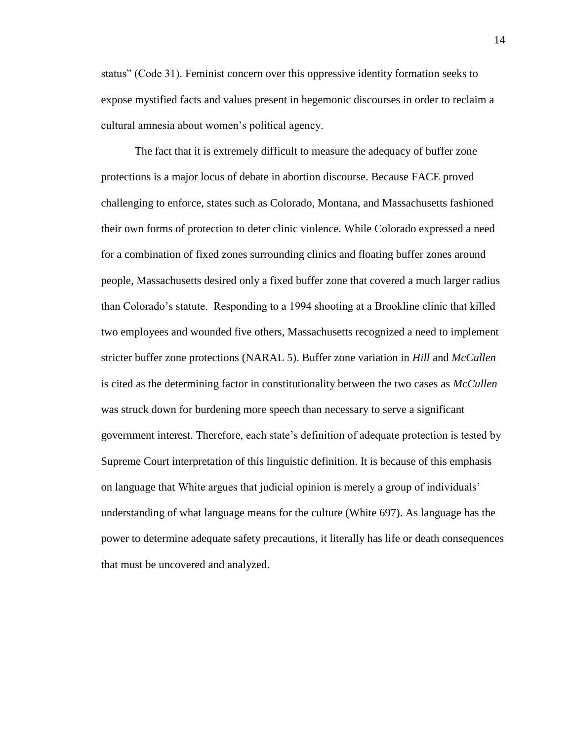status" (Code 31). Feminist concern over this oppressive identity formation seeks to expose mystified facts and values present in hegemonic discourses in order to reclaim a cultural amnesia about women's political agency.

The fact that it is extremely difficult to measure the adequacy of buffer zone protections is a major locus of debate in abortion discourse. Because FACE proved challenging to enforce, states such as Colorado, Montana, and Massachusetts fashioned their own forms of protection to deter clinic violence. While Colorado expressed a need for a combination of fixed zones surrounding clinics and floating buffer zones around people, Massachusetts desired only a fixed buffer zone that covered a much larger radius than Colorado's statute. Responding to a 1994 shooting at a Brookline clinic that killed two employees and wounded five others, Massachusetts recognized a need to implement stricter buffer zone protections (NARAL 5). Buffer zone variation in *Hill* and *McCullen* is cited as the determining factor in constitutionality between the two cases as *McCullen* was struck down for burdening more speech than necessary to serve a significant government interest. Therefore, each state's definition of adequate protection is tested by Supreme Court interpretation of this linguistic definition. It is because of this emphasis on language that White argues that judicial opinion is merely a group of individuals' understanding of what language means for the culture (White 697). As language has the power to determine adequate safety precautions, it literally has life or death consequences that must be uncovered and analyzed.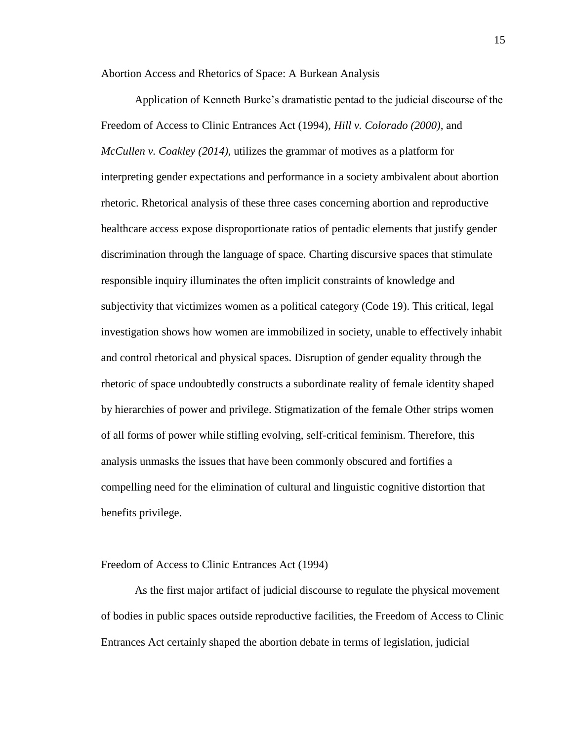Abortion Access and Rhetorics of Space: A Burkean Analysis

Application of Kenneth Burke's dramatistic pentad to the judicial discourse of the Freedom of Access to Clinic Entrances Act (1994), *Hill v. Colorado (2000),* and *McCullen v. Coakley (2014),* utilizes the grammar of motives as a platform for interpreting gender expectations and performance in a society ambivalent about abortion rhetoric. Rhetorical analysis of these three cases concerning abortion and reproductive healthcare access expose disproportionate ratios of pentadic elements that justify gender discrimination through the language of space. Charting discursive spaces that stimulate responsible inquiry illuminates the often implicit constraints of knowledge and subjectivity that victimizes women as a political category (Code 19). This critical, legal investigation shows how women are immobilized in society, unable to effectively inhabit and control rhetorical and physical spaces. Disruption of gender equality through the rhetoric of space undoubtedly constructs a subordinate reality of female identity shaped by hierarchies of power and privilege. Stigmatization of the female Other strips women of all forms of power while stifling evolving, self-critical feminism. Therefore, this analysis unmasks the issues that have been commonly obscured and fortifies a compelling need for the elimination of cultural and linguistic cognitive distortion that benefits privilege.

#### Freedom of Access to Clinic Entrances Act (1994)

As the first major artifact of judicial discourse to regulate the physical movement of bodies in public spaces outside reproductive facilities, the Freedom of Access to Clinic Entrances Act certainly shaped the abortion debate in terms of legislation, judicial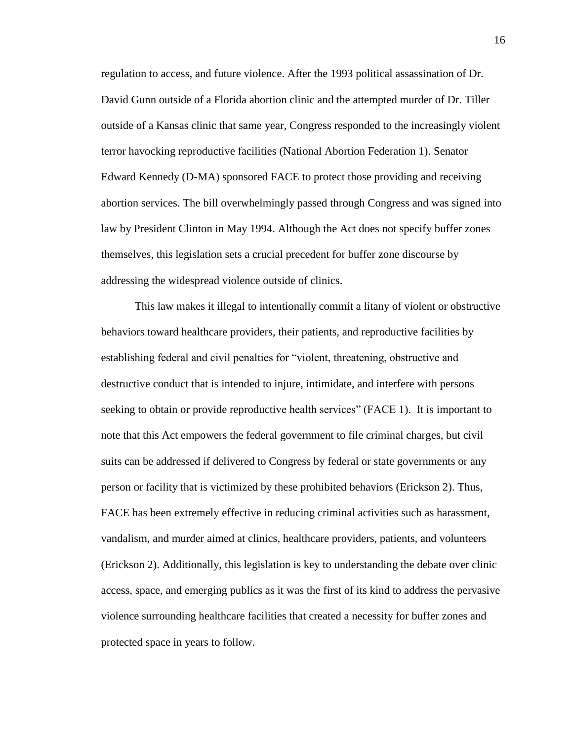regulation to access, and future violence. After the 1993 political assassination of Dr. David Gunn outside of a Florida abortion clinic and the attempted murder of Dr. Tiller outside of a Kansas clinic that same year, Congress responded to the increasingly violent terror havocking reproductive facilities (National Abortion Federation 1). Senator Edward Kennedy (D-MA) sponsored FACE to protect those providing and receiving abortion services. The bill overwhelmingly passed through Congress and was signed into law by President Clinton in May 1994. Although the Act does not specify buffer zones themselves, this legislation sets a crucial precedent for buffer zone discourse by addressing the widespread violence outside of clinics.

This law makes it illegal to intentionally commit a litany of violent or obstructive behaviors toward healthcare providers, their patients, and reproductive facilities by establishing federal and civil penalties for "violent, threatening, obstructive and destructive conduct that is intended to injure, intimidate, and interfere with persons seeking to obtain or provide reproductive health services" (FACE 1). It is important to note that this Act empowers the federal government to file criminal charges, but civil suits can be addressed if delivered to Congress by federal or state governments or any person or facility that is victimized by these prohibited behaviors (Erickson 2). Thus, FACE has been extremely effective in reducing criminal activities such as harassment, vandalism, and murder aimed at clinics, healthcare providers, patients, and volunteers (Erickson 2). Additionally, this legislation is key to understanding the debate over clinic access, space, and emerging publics as it was the first of its kind to address the pervasive violence surrounding healthcare facilities that created a necessity for buffer zones and protected space in years to follow.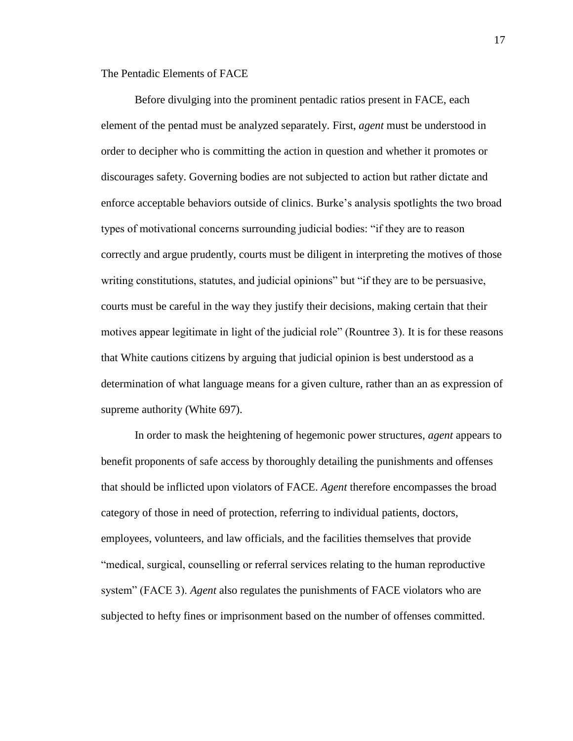The Pentadic Elements of FACE

Before divulging into the prominent pentadic ratios present in FACE, each element of the pentad must be analyzed separately. First, *agent* must be understood in order to decipher who is committing the action in question and whether it promotes or discourages safety. Governing bodies are not subjected to action but rather dictate and enforce acceptable behaviors outside of clinics. Burke's analysis spotlights the two broad types of motivational concerns surrounding judicial bodies: "if they are to reason correctly and argue prudently, courts must be diligent in interpreting the motives of those writing constitutions, statutes, and judicial opinions" but "if they are to be persuasive, courts must be careful in the way they justify their decisions, making certain that their motives appear legitimate in light of the judicial role" (Rountree 3). It is for these reasons that White cautions citizens by arguing that judicial opinion is best understood as a determination of what language means for a given culture, rather than an as expression of supreme authority (White 697).

In order to mask the heightening of hegemonic power structures, *agent* appears to benefit proponents of safe access by thoroughly detailing the punishments and offenses that should be inflicted upon violators of FACE. *Agent* therefore encompasses the broad category of those in need of protection, referring to individual patients, doctors, employees, volunteers, and law officials, and the facilities themselves that provide "medical, surgical, counselling or referral services relating to the human reproductive system" (FACE 3). *Agent* also regulates the punishments of FACE violators who are subjected to hefty fines or imprisonment based on the number of offenses committed.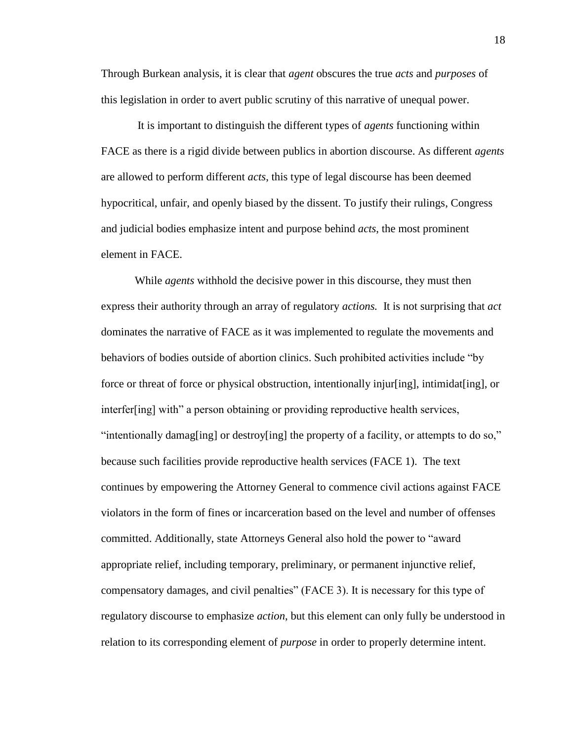Through Burkean analysis, it is clear that *agent* obscures the true *acts* and *purposes* of this legislation in order to avert public scrutiny of this narrative of unequal power.

It is important to distinguish the different types of *agents* functioning within FACE as there is a rigid divide between publics in abortion discourse. As different *agents* are allowed to perform different *acts*, this type of legal discourse has been deemed hypocritical, unfair, and openly biased by the dissent. To justify their rulings, Congress and judicial bodies emphasize intent and purpose behind *acts*, the most prominent element in FACE.

While *agents* withhold the decisive power in this discourse, they must then express their authority through an array of regulatory *actions.* It is not surprising that *act* dominates the narrative of FACE as it was implemented to regulate the movements and behaviors of bodies outside of abortion clinics. Such prohibited activities include "by force or threat of force or physical obstruction, intentionally injur[ing], intimidat[ing], or interfer[ing] with" a person obtaining or providing reproductive health services, "intentionally damag[ing] or destroy[ing] the property of a facility, or attempts to do so," because such facilities provide reproductive health services (FACE 1). The text continues by empowering the Attorney General to commence civil actions against FACE violators in the form of fines or incarceration based on the level and number of offenses committed. Additionally, state Attorneys General also hold the power to "award appropriate relief, including temporary, preliminary, or permanent injunctive relief, compensatory damages, and civil penalties" (FACE 3). It is necessary for this type of regulatory discourse to emphasize *action*, but this element can only fully be understood in relation to its corresponding element of *purpose* in order to properly determine intent.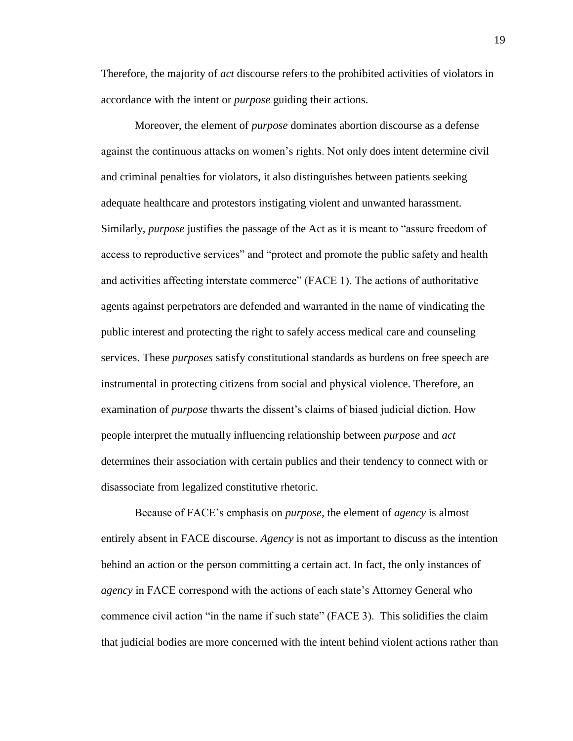Therefore, the majority of *act* discourse refers to the prohibited activities of violators in accordance with the intent or *purpose* guiding their actions.

Moreover, the element of *purpose* dominates abortion discourse as a defense against the continuous attacks on women's rights. Not only does intent determine civil and criminal penalties for violators, it also distinguishes between patients seeking adequate healthcare and protestors instigating violent and unwanted harassment. Similarly, *purpose* justifies the passage of the Act as it is meant to "assure freedom of access to reproductive services" and "protect and promote the public safety and health and activities affecting interstate commerce" (FACE 1). The actions of authoritative agents against perpetrators are defended and warranted in the name of vindicating the public interest and protecting the right to safely access medical care and counseling services. These *purposes* satisfy constitutional standards as burdens on free speech are instrumental in protecting citizens from social and physical violence. Therefore, an examination of *purpose* thwarts the dissent's claims of biased judicial diction. How people interpret the mutually influencing relationship between *purpose* and *act*  determines their association with certain publics and their tendency to connect with or disassociate from legalized constitutive rhetoric.

Because of FACE's emphasis on *purpose,* the element of *agency* is almost entirely absent in FACE discourse. *Agency* is not as important to discuss as the intention behind an action or the person committing a certain act. In fact, the only instances of *agency* in FACE correspond with the actions of each state's Attorney General who commence civil action "in the name if such state" (FACE 3). This solidifies the claim that judicial bodies are more concerned with the intent behind violent actions rather than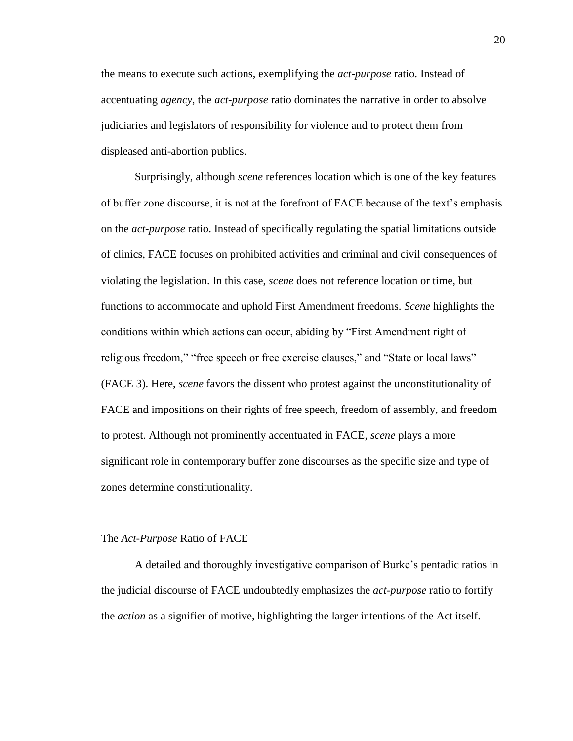the means to execute such actions, exemplifying the *act-purpose* ratio. Instead of accentuating *agency*, the *act-purpose* ratio dominates the narrative in order to absolve judiciaries and legislators of responsibility for violence and to protect them from displeased anti-abortion publics.

Surprisingly, although *scene* references location which is one of the key features of buffer zone discourse, it is not at the forefront of FACE because of the text's emphasis on the *act-purpose* ratio. Instead of specifically regulating the spatial limitations outside of clinics, FACE focuses on prohibited activities and criminal and civil consequences of violating the legislation. In this case, *scene* does not reference location or time, but functions to accommodate and uphold First Amendment freedoms. *Scene* highlights the conditions within which actions can occur, abiding by "First Amendment right of religious freedom," "free speech or free exercise clauses," and "State or local laws" (FACE 3). Here, *scene* favors the dissent who protest against the unconstitutionality of FACE and impositions on their rights of free speech, freedom of assembly, and freedom to protest. Although not prominently accentuated in FACE, *scene* plays a more significant role in contemporary buffer zone discourses as the specific size and type of zones determine constitutionality.

#### The *Act-Purpose* Ratio of FACE

A detailed and thoroughly investigative comparison of Burke's pentadic ratios in the judicial discourse of FACE undoubtedly emphasizes the *act-purpose* ratio to fortify the *action* as a signifier of motive, highlighting the larger intentions of the Act itself.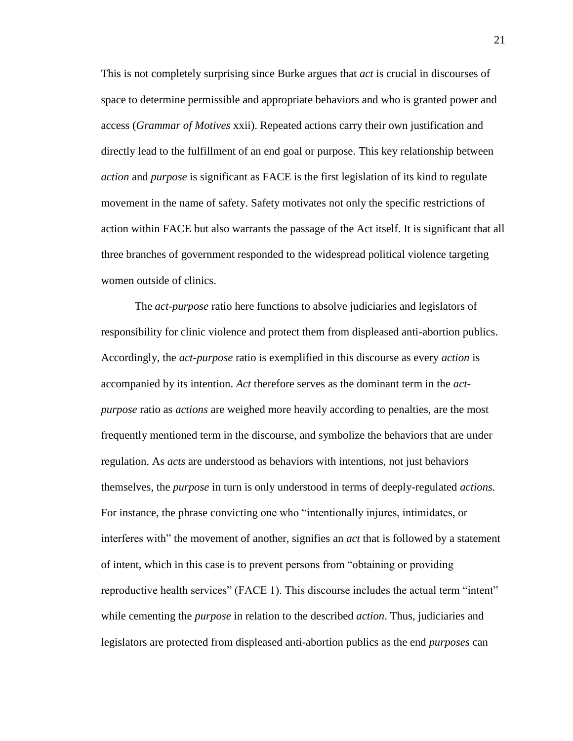This is not completely surprising since Burke argues that *act* is crucial in discourses of space to determine permissible and appropriate behaviors and who is granted power and access (*Grammar of Motives* xxii). Repeated actions carry their own justification and directly lead to the fulfillment of an end goal or purpose. This key relationship between *action* and *purpose* is significant as FACE is the first legislation of its kind to regulate movement in the name of safety. Safety motivates not only the specific restrictions of action within FACE but also warrants the passage of the Act itself. It is significant that all three branches of government responded to the widespread political violence targeting women outside of clinics.

The *act-purpose* ratio here functions to absolve judiciaries and legislators of responsibility for clinic violence and protect them from displeased anti-abortion publics. Accordingly, the *act-purpose* ratio is exemplified in this discourse as every *action* is accompanied by its intention. *Act* therefore serves as the dominant term in the *actpurpose* ratio as *actions* are weighed more heavily according to penalties, are the most frequently mentioned term in the discourse, and symbolize the behaviors that are under regulation. As *acts* are understood as behaviors with intentions, not just behaviors themselves, the *purpose* in turn is only understood in terms of deeply-regulated *actions.* For instance, the phrase convicting one who "intentionally injures, intimidates, or interferes with" the movement of another, signifies an *act* that is followed by a statement of intent, which in this case is to prevent persons from "obtaining or providing reproductive health services" (FACE 1). This discourse includes the actual term "intent" while cementing the *purpose* in relation to the described *action*. Thus, judiciaries and legislators are protected from displeased anti-abortion publics as the end *purposes* can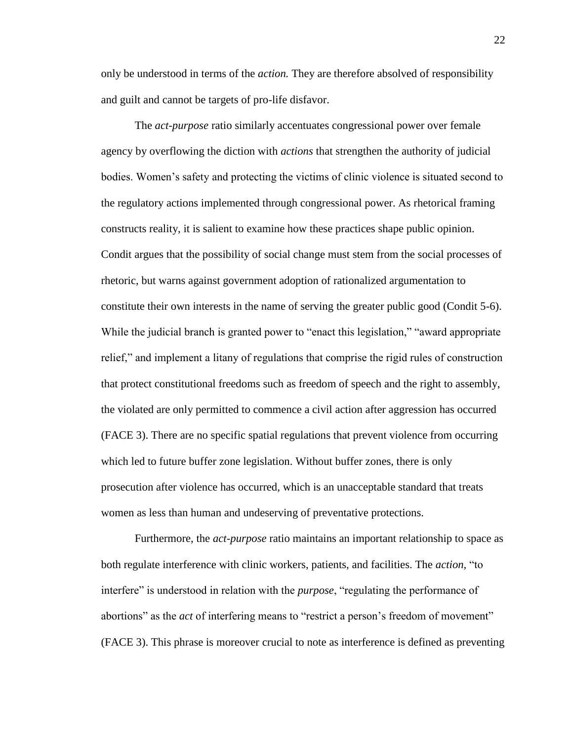only be understood in terms of the *action.* They are therefore absolved of responsibility and guilt and cannot be targets of pro-life disfavor.

The *act-purpose* ratio similarly accentuates congressional power over female agency by overflowing the diction with *actions* that strengthen the authority of judicial bodies. Women's safety and protecting the victims of clinic violence is situated second to the regulatory actions implemented through congressional power. As rhetorical framing constructs reality, it is salient to examine how these practices shape public opinion. Condit argues that the possibility of social change must stem from the social processes of rhetoric, but warns against government adoption of rationalized argumentation to constitute their own interests in the name of serving the greater public good (Condit 5-6). While the judicial branch is granted power to "enact this legislation," "award appropriate relief," and implement a litany of regulations that comprise the rigid rules of construction that protect constitutional freedoms such as freedom of speech and the right to assembly, the violated are only permitted to commence a civil action after aggression has occurred (FACE 3). There are no specific spatial regulations that prevent violence from occurring which led to future buffer zone legislation. Without buffer zones, there is only prosecution after violence has occurred, which is an unacceptable standard that treats women as less than human and undeserving of preventative protections.

Furthermore, the *act-purpose* ratio maintains an important relationship to space as both regulate interference with clinic workers, patients, and facilities. The *action,* "to interfere" is understood in relation with the *purpose*, "regulating the performance of abortions" as the *act* of interfering means to "restrict a person's freedom of movement" (FACE 3). This phrase is moreover crucial to note as interference is defined as preventing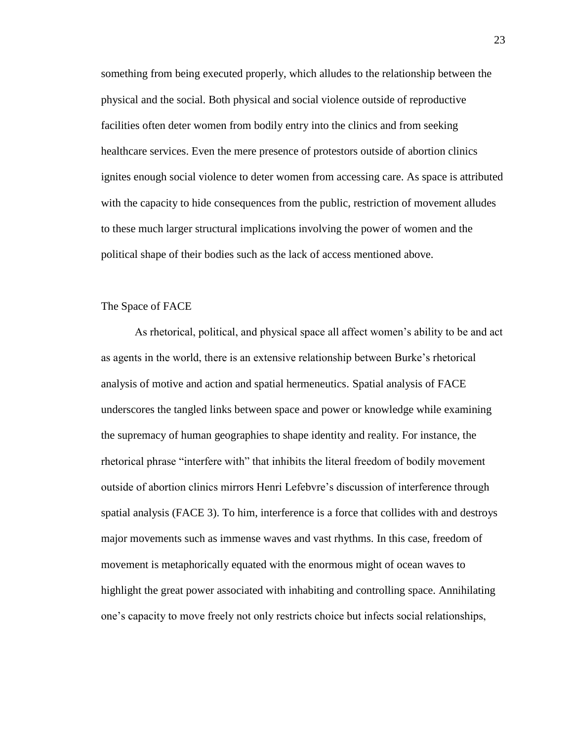something from being executed properly, which alludes to the relationship between the physical and the social. Both physical and social violence outside of reproductive facilities often deter women from bodily entry into the clinics and from seeking healthcare services. Even the mere presence of protestors outside of abortion clinics ignites enough social violence to deter women from accessing care. As space is attributed with the capacity to hide consequences from the public, restriction of movement alludes to these much larger structural implications involving the power of women and the political shape of their bodies such as the lack of access mentioned above.

#### The Space of FACE

As rhetorical, political, and physical space all affect women's ability to be and act as agents in the world, there is an extensive relationship between Burke's rhetorical analysis of motive and action and spatial hermeneutics. Spatial analysis of FACE underscores the tangled links between space and power or knowledge while examining the supremacy of human geographies to shape identity and reality. For instance, the rhetorical phrase "interfere with" that inhibits the literal freedom of bodily movement outside of abortion clinics mirrors Henri Lefebvre's discussion of interference through spatial analysis (FACE 3). To him, interference is a force that collides with and destroys major movements such as immense waves and vast rhythms. In this case, freedom of movement is metaphorically equated with the enormous might of ocean waves to highlight the great power associated with inhabiting and controlling space. Annihilating one's capacity to move freely not only restricts choice but infects social relationships,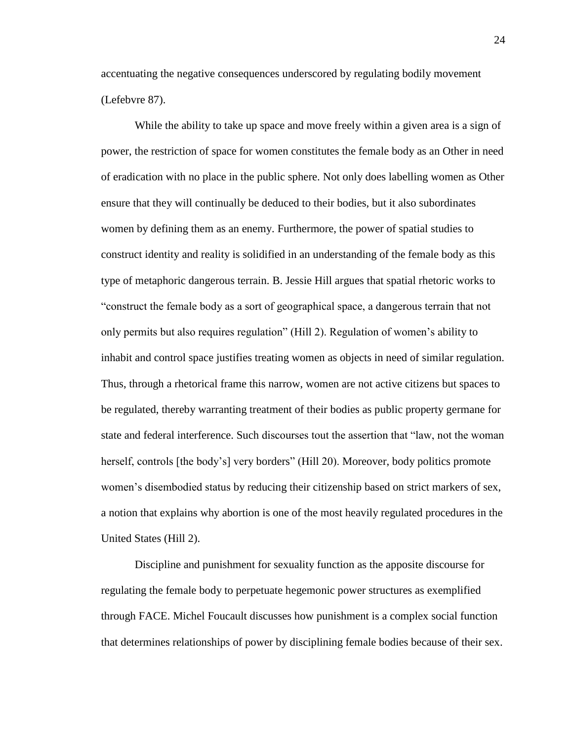accentuating the negative consequences underscored by regulating bodily movement (Lefebvre 87).

While the ability to take up space and move freely within a given area is a sign of power, the restriction of space for women constitutes the female body as an Other in need of eradication with no place in the public sphere. Not only does labelling women as Other ensure that they will continually be deduced to their bodies, but it also subordinates women by defining them as an enemy. Furthermore, the power of spatial studies to construct identity and reality is solidified in an understanding of the female body as this type of metaphoric dangerous terrain. B. Jessie Hill argues that spatial rhetoric works to "construct the female body as a sort of geographical space, a dangerous terrain that not only permits but also requires regulation" (Hill 2). Regulation of women's ability to inhabit and control space justifies treating women as objects in need of similar regulation. Thus, through a rhetorical frame this narrow, women are not active citizens but spaces to be regulated, thereby warranting treatment of their bodies as public property germane for state and federal interference. Such discourses tout the assertion that "law, not the woman herself, controls [the body's] very borders" (Hill 20). Moreover, body politics promote women's disembodied status by reducing their citizenship based on strict markers of sex, a notion that explains why abortion is one of the most heavily regulated procedures in the United States (Hill 2).

Discipline and punishment for sexuality function as the apposite discourse for regulating the female body to perpetuate hegemonic power structures as exemplified through FACE. Michel Foucault discusses how punishment is a complex social function that determines relationships of power by disciplining female bodies because of their sex.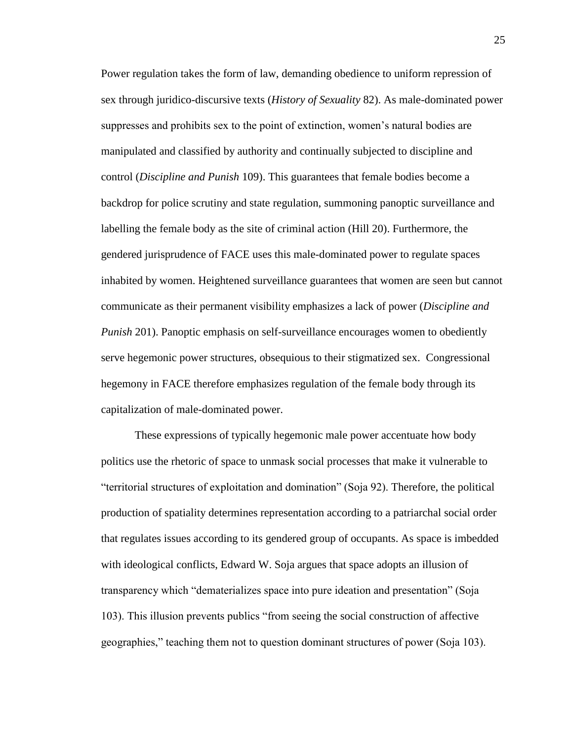Power regulation takes the form of law, demanding obedience to uniform repression of sex through juridico-discursive texts (*History of Sexuality* 82). As male-dominated power suppresses and prohibits sex to the point of extinction, women's natural bodies are manipulated and classified by authority and continually subjected to discipline and control (*Discipline and Punish* 109). This guarantees that female bodies become a backdrop for police scrutiny and state regulation, summoning panoptic surveillance and labelling the female body as the site of criminal action (Hill 20). Furthermore, the gendered jurisprudence of FACE uses this male-dominated power to regulate spaces inhabited by women. Heightened surveillance guarantees that women are seen but cannot communicate as their permanent visibility emphasizes a lack of power (*Discipline and Punish* 201). Panoptic emphasis on self-surveillance encourages women to obediently serve hegemonic power structures, obsequious to their stigmatized sex. Congressional hegemony in FACE therefore emphasizes regulation of the female body through its capitalization of male-dominated power.

These expressions of typically hegemonic male power accentuate how body politics use the rhetoric of space to unmask social processes that make it vulnerable to "territorial structures of exploitation and domination" (Soja 92). Therefore, the political production of spatiality determines representation according to a patriarchal social order that regulates issues according to its gendered group of occupants. As space is imbedded with ideological conflicts, Edward W. Soja argues that space adopts an illusion of transparency which "dematerializes space into pure ideation and presentation" (Soja 103). This illusion prevents publics "from seeing the social construction of affective geographies," teaching them not to question dominant structures of power (Soja 103).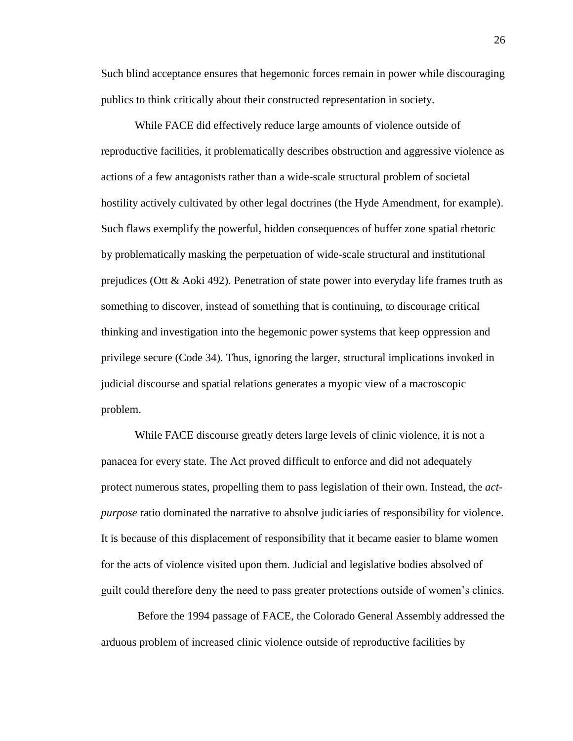Such blind acceptance ensures that hegemonic forces remain in power while discouraging publics to think critically about their constructed representation in society.

While FACE did effectively reduce large amounts of violence outside of reproductive facilities, it problematically describes obstruction and aggressive violence as actions of a few antagonists rather than a wide-scale structural problem of societal hostility actively cultivated by other legal doctrines (the Hyde Amendment, for example). Such flaws exemplify the powerful, hidden consequences of buffer zone spatial rhetoric by problematically masking the perpetuation of wide-scale structural and institutional prejudices (Ott  $\&$  Aoki 492). Penetration of state power into everyday life frames truth as something to discover, instead of something that is continuing, to discourage critical thinking and investigation into the hegemonic power systems that keep oppression and privilege secure (Code 34). Thus, ignoring the larger, structural implications invoked in judicial discourse and spatial relations generates a myopic view of a macroscopic problem.

While FACE discourse greatly deters large levels of clinic violence, it is not a panacea for every state. The Act proved difficult to enforce and did not adequately protect numerous states, propelling them to pass legislation of their own. Instead, the *actpurpose* ratio dominated the narrative to absolve judiciaries of responsibility for violence. It is because of this displacement of responsibility that it became easier to blame women for the acts of violence visited upon them. Judicial and legislative bodies absolved of guilt could therefore deny the need to pass greater protections outside of women's clinics.

Before the 1994 passage of FACE, the Colorado General Assembly addressed the arduous problem of increased clinic violence outside of reproductive facilities by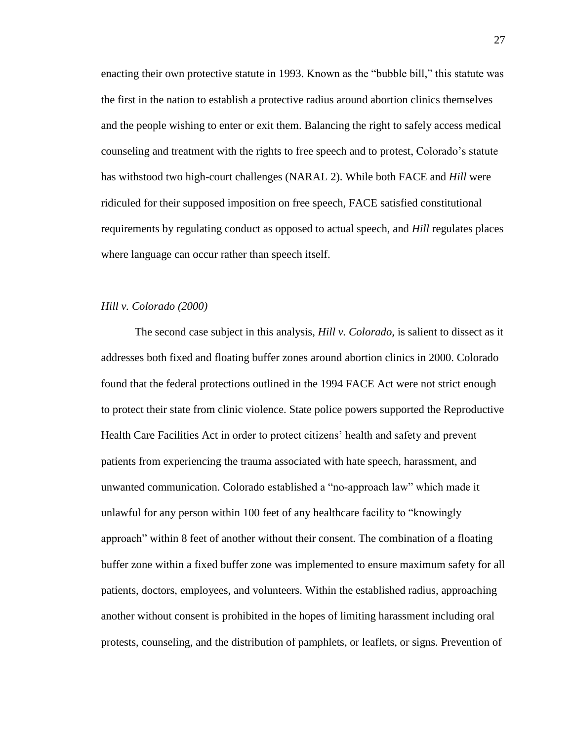enacting their own protective statute in 1993. Known as the "bubble bill," this statute was the first in the nation to establish a protective radius around abortion clinics themselves and the people wishing to enter or exit them. Balancing the right to safely access medical counseling and treatment with the rights to free speech and to protest, Colorado's statute has withstood two high-court challenges (NARAL 2). While both FACE and *Hill* were ridiculed for their supposed imposition on free speech, FACE satisfied constitutional requirements by regulating conduct as opposed to actual speech, and *Hill* regulates places where language can occur rather than speech itself.

#### *Hill v. Colorado (2000)*

The second case subject in this analysis, *Hill v. Colorado,* is salient to dissect as it addresses both fixed and floating buffer zones around abortion clinics in 2000. Colorado found that the federal protections outlined in the 1994 FACE Act were not strict enough to protect their state from clinic violence. State police powers supported the Reproductive Health Care Facilities Act in order to protect citizens' health and safety and prevent patients from experiencing the trauma associated with hate speech, harassment, and unwanted communication. Colorado established a "no-approach law" which made it unlawful for any person within 100 feet of any healthcare facility to "knowingly approach" within 8 feet of another without their consent. The combination of a floating buffer zone within a fixed buffer zone was implemented to ensure maximum safety for all patients, doctors, employees, and volunteers. Within the established radius, approaching another without consent is prohibited in the hopes of limiting harassment including oral protests, counseling, and the distribution of pamphlets, or leaflets, or signs. Prevention of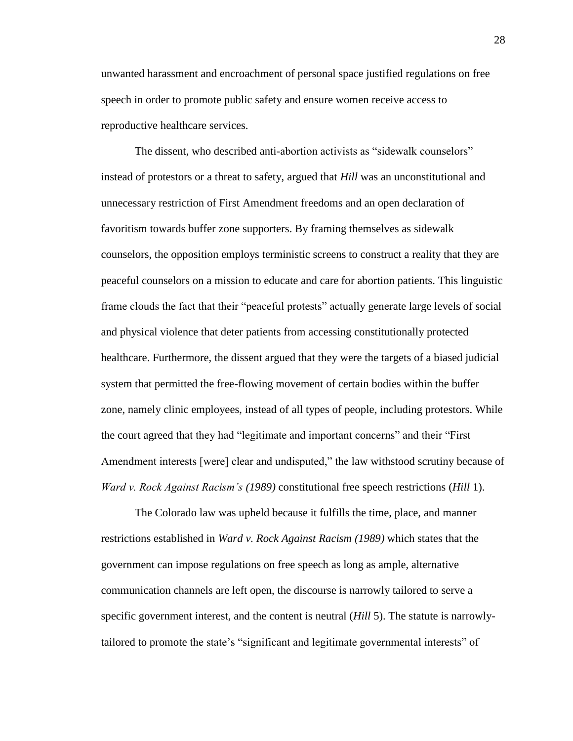unwanted harassment and encroachment of personal space justified regulations on free speech in order to promote public safety and ensure women receive access to reproductive healthcare services.

The dissent, who described anti-abortion activists as "sidewalk counselors" instead of protestors or a threat to safety, argued that *Hill* was an unconstitutional and unnecessary restriction of First Amendment freedoms and an open declaration of favoritism towards buffer zone supporters. By framing themselves as sidewalk counselors, the opposition employs terministic screens to construct a reality that they are peaceful counselors on a mission to educate and care for abortion patients. This linguistic frame clouds the fact that their "peaceful protests" actually generate large levels of social and physical violence that deter patients from accessing constitutionally protected healthcare. Furthermore, the dissent argued that they were the targets of a biased judicial system that permitted the free-flowing movement of certain bodies within the buffer zone, namely clinic employees, instead of all types of people, including protestors. While the court agreed that they had "legitimate and important concerns" and their "First Amendment interests [were] clear and undisputed," the law withstood scrutiny because of *Ward v. Rock Against Racism's (1989)* constitutional free speech restrictions (*Hill* 1).

The Colorado law was upheld because it fulfills the time, place, and manner restrictions established in *Ward v. Rock Against Racism (1989)* which states that the government can impose regulations on free speech as long as ample, alternative communication channels are left open, the discourse is narrowly tailored to serve a specific government interest, and the content is neutral (*Hill* 5). The statute is narrowlytailored to promote the state's "significant and legitimate governmental interests" of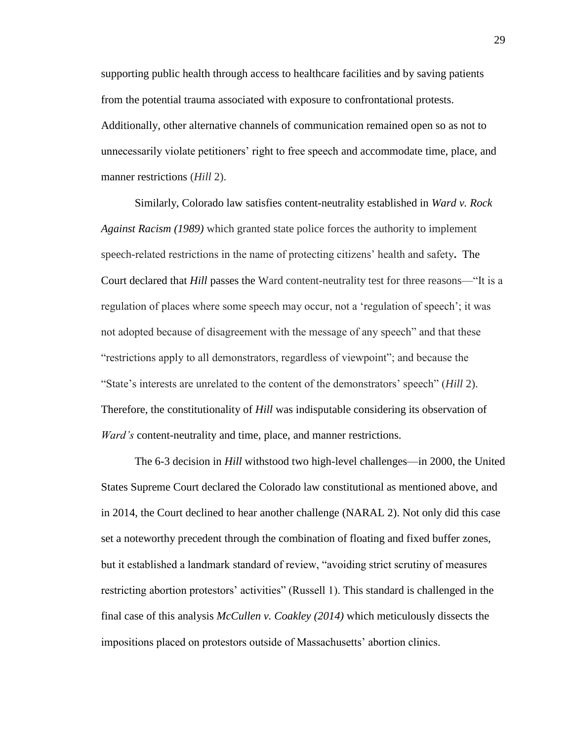supporting public health through access to healthcare facilities and by saving patients from the potential trauma associated with exposure to confrontational protests. Additionally, other alternative channels of communication remained open so as not to unnecessarily violate petitioners' right to free speech and accommodate time, place, and manner restrictions (*Hill* 2).

Similarly, Colorado law satisfies content-neutrality established in *Ward v. Rock Against Racism (1989)* which granted state police forces the authority to implement speech-related restrictions in the name of protecting citizens' health and safety**.** The Court declared that *Hill* passes the Ward content-neutrality test for three reasons—"It is a regulation of places where some speech may occur, not a 'regulation of speech'; it was not adopted because of disagreement with the message of any speech" and that these "restrictions apply to all demonstrators, regardless of viewpoint"; and because the "State's interests are unrelated to the content of the demonstrators' speech" (*Hill* 2). Therefore, the constitutionality of *Hill* was indisputable considering its observation of *Ward's* content-neutrality and time, place, and manner restrictions.

The 6-3 decision in *Hill* withstood two high-level challenges—in 2000, the United States Supreme Court declared the Colorado law constitutional as mentioned above, and in 2014, the Court declined to hear another challenge (NARAL 2). Not only did this case set a noteworthy precedent through the combination of floating and fixed buffer zones, but it established a landmark standard of review, "avoiding strict scrutiny of measures restricting abortion protestors' activities" (Russell 1). This standard is challenged in the final case of this analysis *McCullen v. Coakley (2014)* which meticulously dissects the impositions placed on protestors outside of Massachusetts' abortion clinics.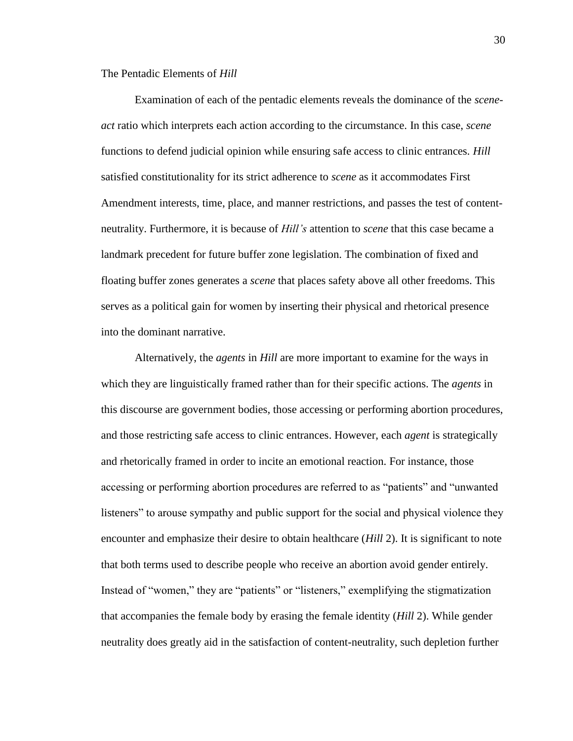## The Pentadic Elements of *Hill*

Examination of each of the pentadic elements reveals the dominance of the *sceneact* ratio which interprets each action according to the circumstance. In this case, *scene* functions to defend judicial opinion while ensuring safe access to clinic entrances. *Hill* satisfied constitutionality for its strict adherence to *scene* as it accommodates First Amendment interests, time, place, and manner restrictions, and passes the test of contentneutrality. Furthermore, it is because of *Hill's* attention to *scene* that this case became a landmark precedent for future buffer zone legislation. The combination of fixed and floating buffer zones generates a *scene* that places safety above all other freedoms. This serves as a political gain for women by inserting their physical and rhetorical presence into the dominant narrative.

Alternatively, the *agents* in *Hill* are more important to examine for the ways in which they are linguistically framed rather than for their specific actions. The *agents* in this discourse are government bodies, those accessing or performing abortion procedures, and those restricting safe access to clinic entrances. However, each *agent* is strategically and rhetorically framed in order to incite an emotional reaction. For instance, those accessing or performing abortion procedures are referred to as "patients" and "unwanted listeners" to arouse sympathy and public support for the social and physical violence they encounter and emphasize their desire to obtain healthcare (*Hill* 2). It is significant to note that both terms used to describe people who receive an abortion avoid gender entirely. Instead of "women," they are "patients" or "listeners," exemplifying the stigmatization that accompanies the female body by erasing the female identity (*Hill* 2). While gender neutrality does greatly aid in the satisfaction of content-neutrality, such depletion further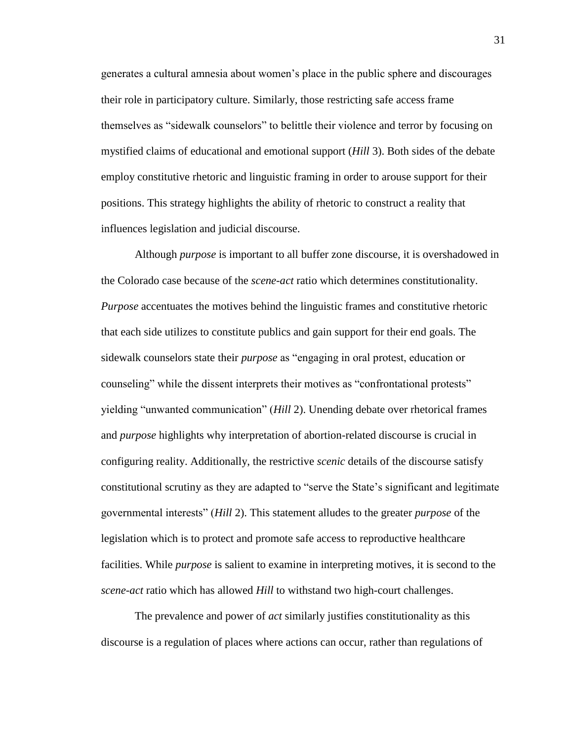generates a cultural amnesia about women's place in the public sphere and discourages their role in participatory culture. Similarly, those restricting safe access frame themselves as "sidewalk counselors" to belittle their violence and terror by focusing on mystified claims of educational and emotional support (*Hill* 3). Both sides of the debate employ constitutive rhetoric and linguistic framing in order to arouse support for their positions. This strategy highlights the ability of rhetoric to construct a reality that influences legislation and judicial discourse.

Although *purpose* is important to all buffer zone discourse, it is overshadowed in the Colorado case because of the *scene-act* ratio which determines constitutionality. *Purpose* accentuates the motives behind the linguistic frames and constitutive rhetoric that each side utilizes to constitute publics and gain support for their end goals. The sidewalk counselors state their *purpose* as "engaging in oral protest, education or counseling" while the dissent interprets their motives as "confrontational protests" yielding "unwanted communication" (*Hill* 2). Unending debate over rhetorical frames and *purpose* highlights why interpretation of abortion-related discourse is crucial in configuring reality. Additionally, the restrictive *scenic* details of the discourse satisfy constitutional scrutiny as they are adapted to "serve the State's significant and legitimate governmental interests" (*Hill* 2). This statement alludes to the greater *purpose* of the legislation which is to protect and promote safe access to reproductive healthcare facilities. While *purpose* is salient to examine in interpreting motives, it is second to the *scene-act* ratio which has allowed *Hill* to withstand two high-court challenges.

The prevalence and power of *act* similarly justifies constitutionality as this discourse is a regulation of places where actions can occur, rather than regulations of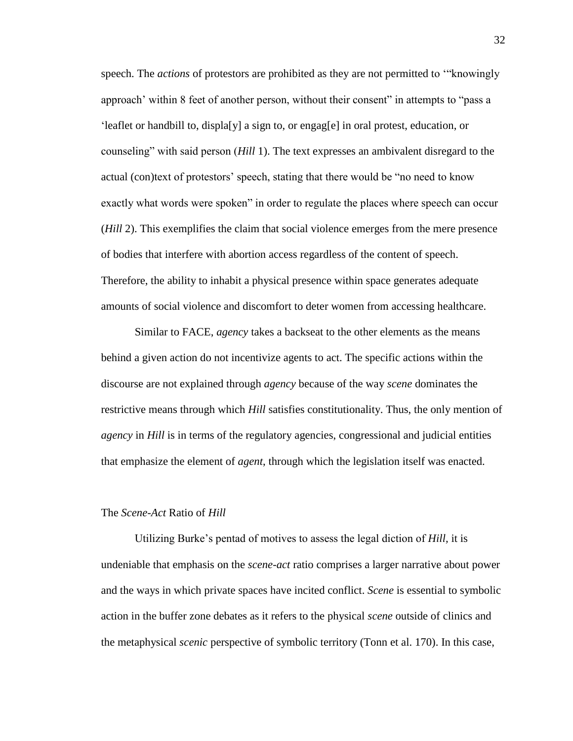speech. The *actions* of protestors are prohibited as they are not permitted to '"knowingly approach' within 8 feet of another person, without their consent" in attempts to "pass a 'leaflet or handbill to, displa[y] a sign to, or engag[e] in oral protest, education, or counseling" with said person (*Hill* 1). The text expresses an ambivalent disregard to the actual (con)text of protestors' speech, stating that there would be "no need to know exactly what words were spoken" in order to regulate the places where speech can occur (*Hill* 2). This exemplifies the claim that social violence emerges from the mere presence of bodies that interfere with abortion access regardless of the content of speech. Therefore, the ability to inhabit a physical presence within space generates adequate amounts of social violence and discomfort to deter women from accessing healthcare.

Similar to FACE, *agency* takes a backseat to the other elements as the means behind a given action do not incentivize agents to act. The specific actions within the discourse are not explained through *agency* because of the way *scene* dominates the restrictive means through which *Hill* satisfies constitutionality. Thus, the only mention of *agency* in *Hill* is in terms of the regulatory agencies, congressional and judicial entities that emphasize the element of *agent*, through which the legislation itself was enacted.

#### The *Scene-Act* Ratio of *Hill*

Utilizing Burke's pentad of motives to assess the legal diction of *Hill,* it is undeniable that emphasis on the *scene-act* ratio comprises a larger narrative about power and the ways in which private spaces have incited conflict. *Scene* is essential to symbolic action in the buffer zone debates as it refers to the physical *scene* outside of clinics and the metaphysical *scenic* perspective of symbolic territory (Tonn et al. 170). In this case,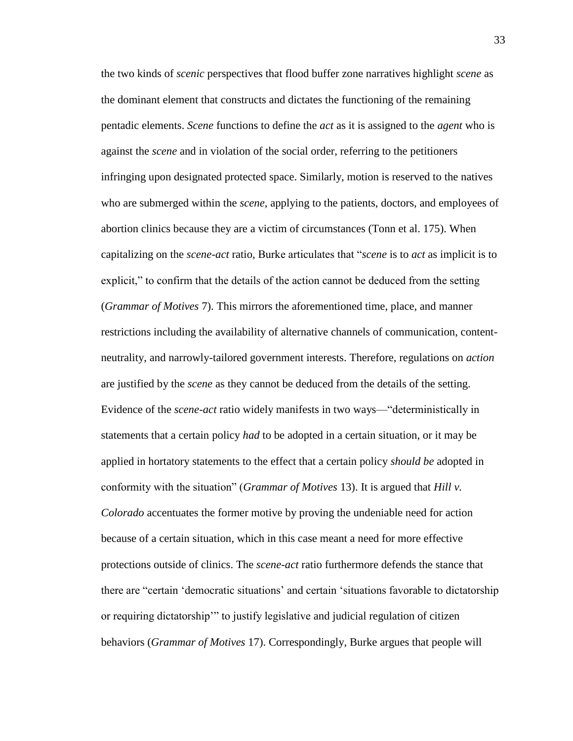the two kinds of *scenic* perspectives that flood buffer zone narratives highlight *scene* as the dominant element that constructs and dictates the functioning of the remaining pentadic elements. *Scene* functions to define the *act* as it is assigned to the *agent* who is against the *scene* and in violation of the social order, referring to the petitioners infringing upon designated protected space. Similarly, motion is reserved to the natives who are submerged within the *scene*, applying to the patients, doctors, and employees of abortion clinics because they are a victim of circumstances (Tonn et al. 175). When capitalizing on the *scene-act* ratio, Burke articulates that "*scene* is to *act* as implicit is to explicit," to confirm that the details of the action cannot be deduced from the setting (*Grammar of Motives* 7). This mirrors the aforementioned time, place, and manner restrictions including the availability of alternative channels of communication, contentneutrality, and narrowly-tailored government interests. Therefore, regulations on *action* are justified by the *scene* as they cannot be deduced from the details of the setting. Evidence of the *scene-act* ratio widely manifests in two ways—"deterministically in statements that a certain policy *had* to be adopted in a certain situation, or it may be applied in hortatory statements to the effect that a certain policy *should be* adopted in conformity with the situation" (*Grammar of Motives* 13). It is argued that *Hill v. Colorado* accentuates the former motive by proving the undeniable need for action because of a certain situation, which in this case meant a need for more effective protections outside of clinics. The *scene-act* ratio furthermore defends the stance that there are "certain 'democratic situations' and certain 'situations favorable to dictatorship or requiring dictatorship'" to justify legislative and judicial regulation of citizen behaviors (*Grammar of Motives* 17). Correspondingly, Burke argues that people will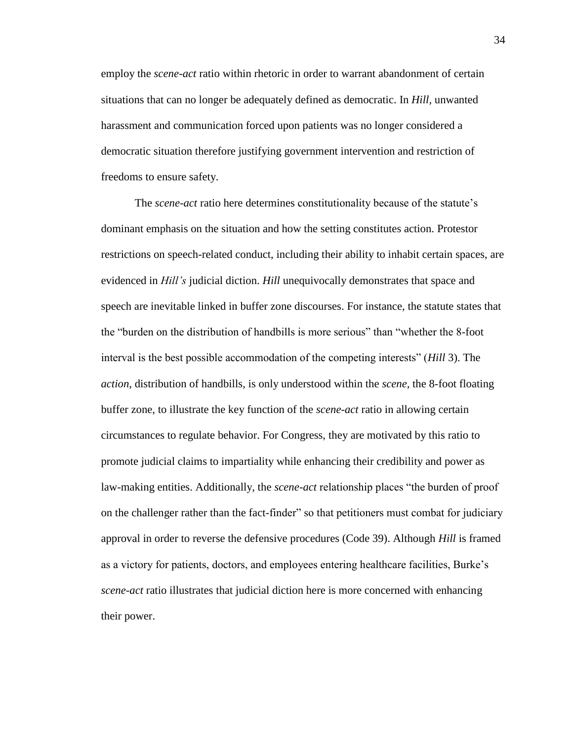employ the *scene-act* ratio within rhetoric in order to warrant abandonment of certain situations that can no longer be adequately defined as democratic. In *Hill,* unwanted harassment and communication forced upon patients was no longer considered a democratic situation therefore justifying government intervention and restriction of freedoms to ensure safety.

The *scene-act* ratio here determines constitutionality because of the statute's dominant emphasis on the situation and how the setting constitutes action. Protestor restrictions on speech-related conduct, including their ability to inhabit certain spaces, are evidenced in *Hill's* judicial diction. *Hill* unequivocally demonstrates that space and speech are inevitable linked in buffer zone discourses. For instance, the statute states that the "burden on the distribution of handbills is more serious" than "whether the 8-foot interval is the best possible accommodation of the competing interests" (*Hill* 3). The *action*, distribution of handbills, is only understood within the *scene,* the 8-foot floating buffer zone, to illustrate the key function of the *scene-act* ratio in allowing certain circumstances to regulate behavior. For Congress, they are motivated by this ratio to promote judicial claims to impartiality while enhancing their credibility and power as law-making entities. Additionally, the *scene-act* relationship places "the burden of proof on the challenger rather than the fact-finder" so that petitioners must combat for judiciary approval in order to reverse the defensive procedures (Code 39). Although *Hill* is framed as a victory for patients, doctors, and employees entering healthcare facilities, Burke's *scene-act* ratio illustrates that judicial diction here is more concerned with enhancing their power.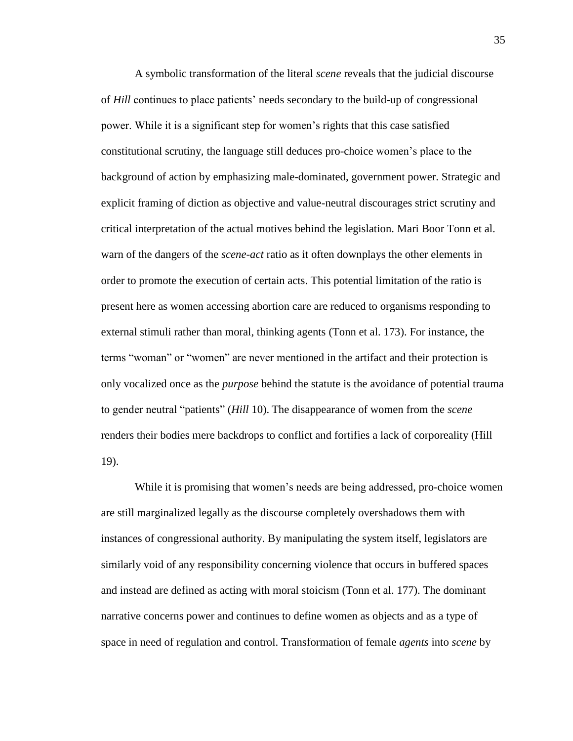A symbolic transformation of the literal *scene* reveals that the judicial discourse of *Hill* continues to place patients' needs secondary to the build-up of congressional power. While it is a significant step for women's rights that this case satisfied constitutional scrutiny, the language still deduces pro-choice women's place to the background of action by emphasizing male-dominated, government power. Strategic and explicit framing of diction as objective and value-neutral discourages strict scrutiny and critical interpretation of the actual motives behind the legislation. Mari Boor Tonn et al. warn of the dangers of the *scene-act* ratio as it often downplays the other elements in order to promote the execution of certain acts. This potential limitation of the ratio is present here as women accessing abortion care are reduced to organisms responding to external stimuli rather than moral, thinking agents (Tonn et al. 173). For instance, the terms "woman" or "women" are never mentioned in the artifact and their protection is only vocalized once as the *purpose* behind the statute is the avoidance of potential trauma to gender neutral "patients" (*Hill* 10). The disappearance of women from the *scene* renders their bodies mere backdrops to conflict and fortifies a lack of corporeality (Hill 19).

While it is promising that women's needs are being addressed, pro-choice women are still marginalized legally as the discourse completely overshadows them with instances of congressional authority. By manipulating the system itself, legislators are similarly void of any responsibility concerning violence that occurs in buffered spaces and instead are defined as acting with moral stoicism (Tonn et al. 177). The dominant narrative concerns power and continues to define women as objects and as a type of space in need of regulation and control. Transformation of female *agents* into *scene* by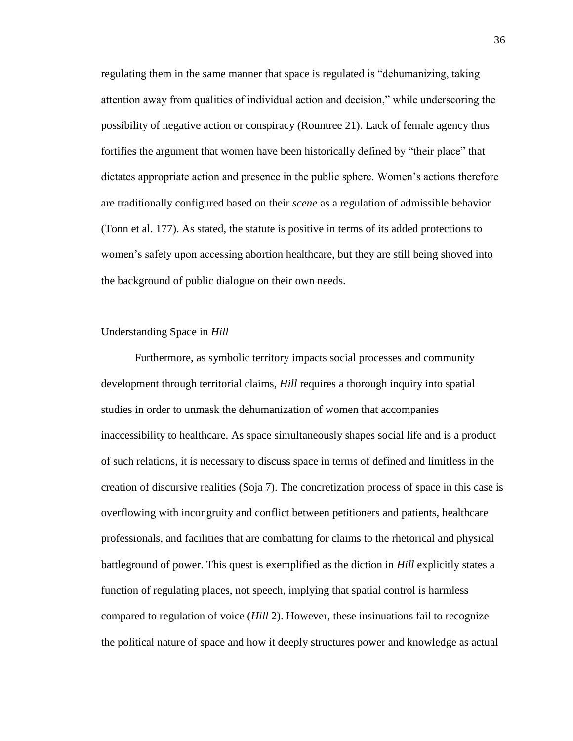regulating them in the same manner that space is regulated is "dehumanizing, taking attention away from qualities of individual action and decision," while underscoring the possibility of negative action or conspiracy (Rountree 21). Lack of female agency thus fortifies the argument that women have been historically defined by "their place" that dictates appropriate action and presence in the public sphere. Women's actions therefore are traditionally configured based on their *scene* as a regulation of admissible behavior (Tonn et al. 177). As stated, the statute is positive in terms of its added protections to women's safety upon accessing abortion healthcare, but they are still being shoved into the background of public dialogue on their own needs.

#### Understanding Space in *Hill*

Furthermore, as symbolic territory impacts social processes and community development through territorial claims, *Hill* requires a thorough inquiry into spatial studies in order to unmask the dehumanization of women that accompanies inaccessibility to healthcare. As space simultaneously shapes social life and is a product of such relations, it is necessary to discuss space in terms of defined and limitless in the creation of discursive realities (Soja 7). The concretization process of space in this case is overflowing with incongruity and conflict between petitioners and patients, healthcare professionals, and facilities that are combatting for claims to the rhetorical and physical battleground of power. This quest is exemplified as the diction in *Hill* explicitly states a function of regulating places, not speech, implying that spatial control is harmless compared to regulation of voice (*Hill* 2). However, these insinuations fail to recognize the political nature of space and how it deeply structures power and knowledge as actual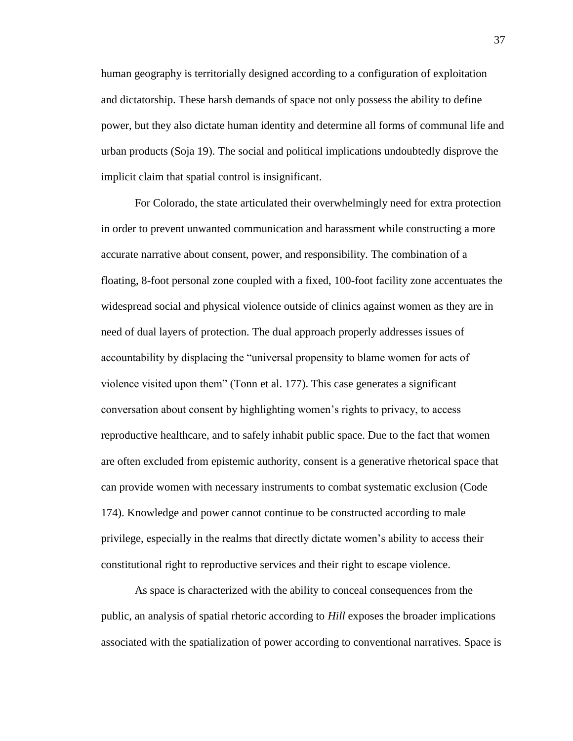human geography is territorially designed according to a configuration of exploitation and dictatorship. These harsh demands of space not only possess the ability to define power, but they also dictate human identity and determine all forms of communal life and urban products (Soja 19). The social and political implications undoubtedly disprove the implicit claim that spatial control is insignificant.

For Colorado, the state articulated their overwhelmingly need for extra protection in order to prevent unwanted communication and harassment while constructing a more accurate narrative about consent, power, and responsibility. The combination of a floating, 8-foot personal zone coupled with a fixed, 100-foot facility zone accentuates the widespread social and physical violence outside of clinics against women as they are in need of dual layers of protection. The dual approach properly addresses issues of accountability by displacing the "universal propensity to blame women for acts of violence visited upon them" (Tonn et al. 177). This case generates a significant conversation about consent by highlighting women's rights to privacy, to access reproductive healthcare, and to safely inhabit public space. Due to the fact that women are often excluded from epistemic authority, consent is a generative rhetorical space that can provide women with necessary instruments to combat systematic exclusion (Code 174). Knowledge and power cannot continue to be constructed according to male privilege, especially in the realms that directly dictate women's ability to access their constitutional right to reproductive services and their right to escape violence.

As space is characterized with the ability to conceal consequences from the public, an analysis of spatial rhetoric according to *Hill* exposes the broader implications associated with the spatialization of power according to conventional narratives. Space is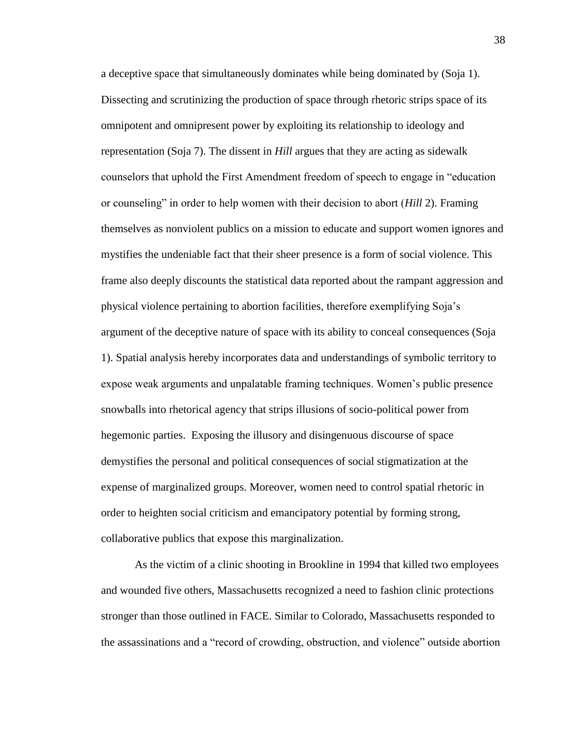a deceptive space that simultaneously dominates while being dominated by (Soja 1). Dissecting and scrutinizing the production of space through rhetoric strips space of its omnipotent and omnipresent power by exploiting its relationship to ideology and representation (Soja 7). The dissent in *Hill* argues that they are acting as sidewalk counselors that uphold the First Amendment freedom of speech to engage in "education or counseling" in order to help women with their decision to abort (*Hill* 2). Framing themselves as nonviolent publics on a mission to educate and support women ignores and mystifies the undeniable fact that their sheer presence is a form of social violence. This frame also deeply discounts the statistical data reported about the rampant aggression and physical violence pertaining to abortion facilities, therefore exemplifying Soja's argument of the deceptive nature of space with its ability to conceal consequences (Soja 1). Spatial analysis hereby incorporates data and understandings of symbolic territory to expose weak arguments and unpalatable framing techniques. Women's public presence snowballs into rhetorical agency that strips illusions of socio-political power from hegemonic parties. Exposing the illusory and disingenuous discourse of space demystifies the personal and political consequences of social stigmatization at the expense of marginalized groups. Moreover, women need to control spatial rhetoric in order to heighten social criticism and emancipatory potential by forming strong, collaborative publics that expose this marginalization.

As the victim of a clinic shooting in Brookline in 1994 that killed two employees and wounded five others, Massachusetts recognized a need to fashion clinic protections stronger than those outlined in FACE. Similar to Colorado, Massachusetts responded to the assassinations and a "record of crowding, obstruction, and violence" outside abortion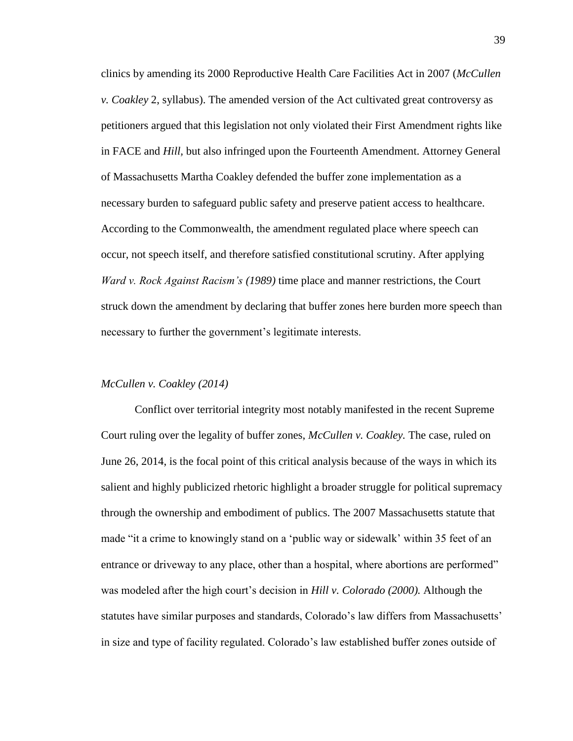clinics by amending its 2000 Reproductive Health Care Facilities Act in 2007 (*McCullen v. Coakley* 2, syllabus). The amended version of the Act cultivated great controversy as petitioners argued that this legislation not only violated their First Amendment rights like in FACE and *Hill,* but also infringed upon the Fourteenth Amendment. Attorney General of Massachusetts Martha Coakley defended the buffer zone implementation as a necessary burden to safeguard public safety and preserve patient access to healthcare. According to the Commonwealth, the amendment regulated place where speech can occur, not speech itself, and therefore satisfied constitutional scrutiny. After applying *Ward v. Rock Against Racism's (1989)* time place and manner restrictions, the Court struck down the amendment by declaring that buffer zones here burden more speech than necessary to further the government's legitimate interests.

#### *McCullen v. Coakley (2014)*

Conflict over territorial integrity most notably manifested in the recent Supreme Court ruling over the legality of buffer zones, *McCullen v. Coakley.* The case, ruled on June 26, 2014, is the focal point of this critical analysis because of the ways in which its salient and highly publicized rhetoric highlight a broader struggle for political supremacy through the ownership and embodiment of publics. The 2007 Massachusetts statute that made "it a crime to knowingly stand on a 'public way or sidewalk' within 35 feet of an entrance or driveway to any place, other than a hospital, where abortions are performed" was modeled after the high court's decision in *Hill v. Colorado (2000).* Although the statutes have similar purposes and standards, Colorado's law differs from Massachusetts' in size and type of facility regulated. Colorado's law established buffer zones outside of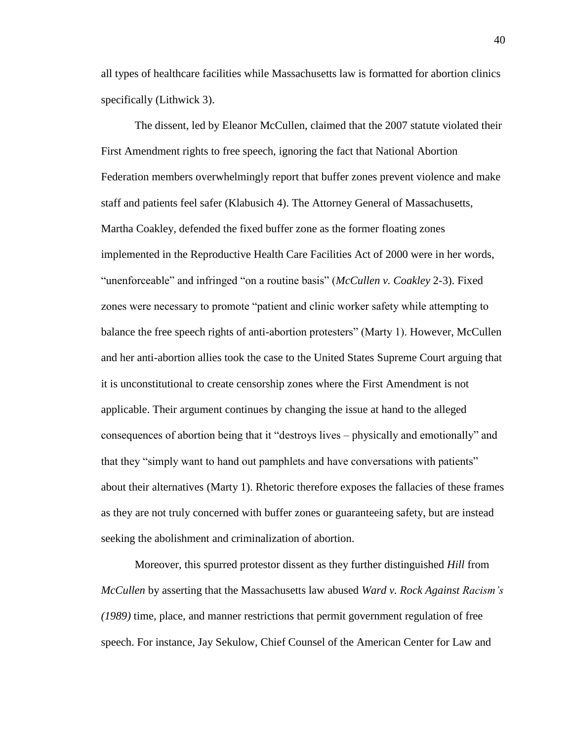all types of healthcare facilities while Massachusetts law is formatted for abortion clinics specifically (Lithwick 3).

The dissent, led by Eleanor McCullen, claimed that the 2007 statute violated their First Amendment rights to free speech, ignoring the fact that National Abortion Federation members overwhelmingly report that buffer zones prevent violence and make staff and patients feel safer (Klabusich 4). The Attorney General of Massachusetts, Martha Coakley, defended the fixed buffer zone as the former floating zones implemented in the Reproductive Health Care Facilities Act of 2000 were in her words, "unenforceable" and infringed "on a routine basis" (*McCullen v. Coakley* 2-3). Fixed zones were necessary to promote "patient and clinic worker safety while attempting to balance the free speech rights of anti-abortion protesters" (Marty 1). However, McCullen and her anti-abortion allies took the case to the United States Supreme Court arguing that it is unconstitutional to create censorship zones where the First Amendment is not applicable. Their argument continues by changing the issue at hand to the alleged consequences of abortion being that it "destroys lives – physically and emotionally" and that they "simply want to hand out pamphlets and have conversations with patients" about their alternatives (Marty 1). Rhetoric therefore exposes the fallacies of these frames as they are not truly concerned with buffer zones or guaranteeing safety, but are instead seeking the abolishment and criminalization of abortion.

Moreover, this spurred protestor dissent as they further distinguished *Hill* from *McCullen* by asserting that the Massachusetts law abused *Ward v. Rock Against Racism's (1989)* time, place, and manner restrictions that permit government regulation of free speech. For instance, Jay Sekulow, Chief Counsel of the American Center for Law and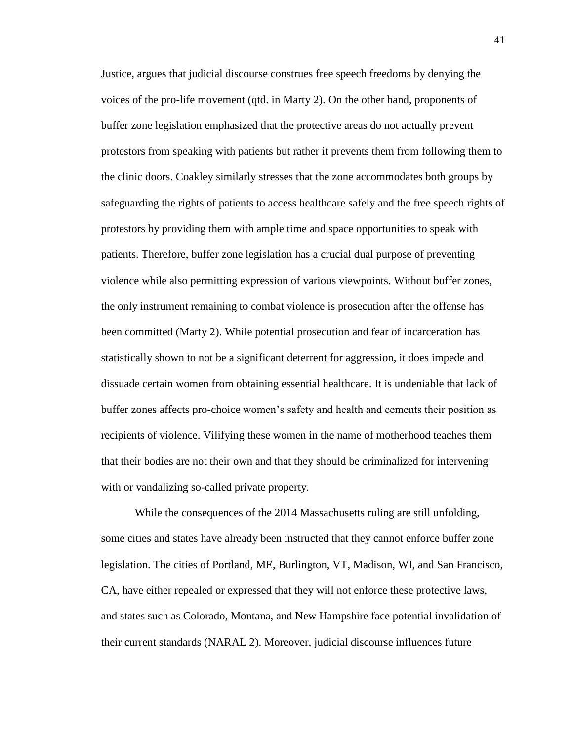Justice, argues that judicial discourse construes free speech freedoms by denying the voices of the pro-life movement (qtd. in Marty 2). On the other hand, proponents of buffer zone legislation emphasized that the protective areas do not actually prevent protestors from speaking with patients but rather it prevents them from following them to the clinic doors. Coakley similarly stresses that the zone accommodates both groups by safeguarding the rights of patients to access healthcare safely and the free speech rights of protestors by providing them with ample time and space opportunities to speak with patients. Therefore, buffer zone legislation has a crucial dual purpose of preventing violence while also permitting expression of various viewpoints. Without buffer zones, the only instrument remaining to combat violence is prosecution after the offense has been committed (Marty 2). While potential prosecution and fear of incarceration has statistically shown to not be a significant deterrent for aggression, it does impede and dissuade certain women from obtaining essential healthcare. It is undeniable that lack of buffer zones affects pro-choice women's safety and health and cements their position as recipients of violence. Vilifying these women in the name of motherhood teaches them that their bodies are not their own and that they should be criminalized for intervening with or vandalizing so-called private property.

While the consequences of the 2014 Massachusetts ruling are still unfolding, some cities and states have already been instructed that they cannot enforce buffer zone legislation. The cities of Portland, ME, Burlington, VT, Madison, WI, and San Francisco, CA, have either repealed or expressed that they will not enforce these protective laws, and states such as Colorado, Montana, and New Hampshire face potential invalidation of their current standards (NARAL 2). Moreover, judicial discourse influences future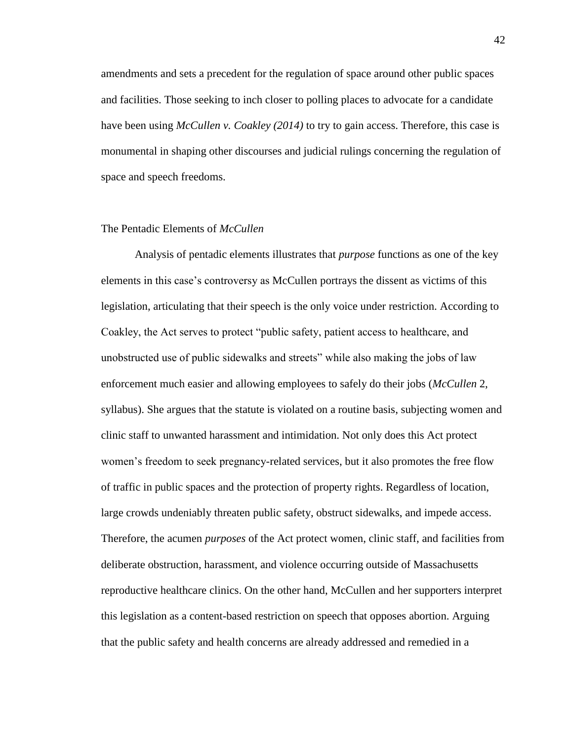amendments and sets a precedent for the regulation of space around other public spaces and facilities. Those seeking to inch closer to polling places to advocate for a candidate have been using *McCullen v. Coakley (2014)* to try to gain access. Therefore, this case is monumental in shaping other discourses and judicial rulings concerning the regulation of space and speech freedoms.

## The Pentadic Elements of *McCullen*

Analysis of pentadic elements illustrates that *purpose* functions as one of the key elements in this case's controversy as McCullen portrays the dissent as victims of this legislation, articulating that their speech is the only voice under restriction. According to Coakley, the Act serves to protect "public safety, patient access to healthcare, and unobstructed use of public sidewalks and streets" while also making the jobs of law enforcement much easier and allowing employees to safely do their jobs (*McCullen* 2, syllabus). She argues that the statute is violated on a routine basis, subjecting women and clinic staff to unwanted harassment and intimidation. Not only does this Act protect women's freedom to seek pregnancy-related services, but it also promotes the free flow of traffic in public spaces and the protection of property rights. Regardless of location, large crowds undeniably threaten public safety, obstruct sidewalks, and impede access. Therefore, the acumen *purposes* of the Act protect women, clinic staff, and facilities from deliberate obstruction, harassment, and violence occurring outside of Massachusetts reproductive healthcare clinics. On the other hand, McCullen and her supporters interpret this legislation as a content-based restriction on speech that opposes abortion. Arguing that the public safety and health concerns are already addressed and remedied in a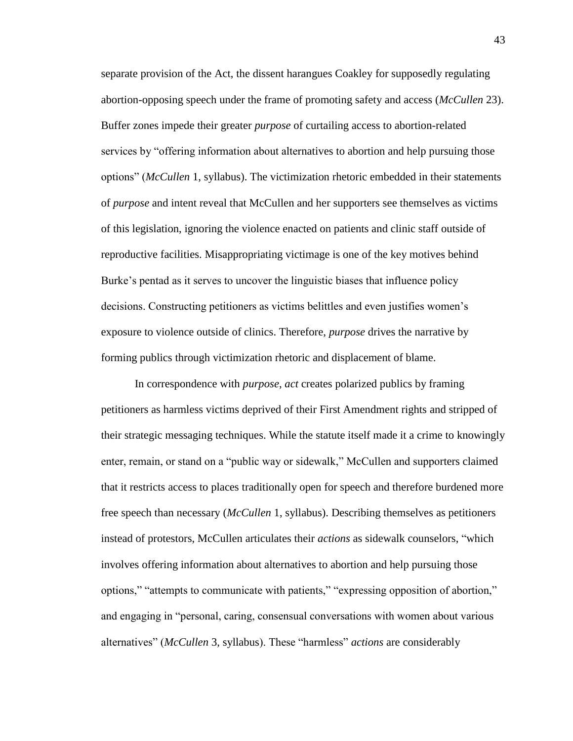separate provision of the Act, the dissent harangues Coakley for supposedly regulating abortion-opposing speech under the frame of promoting safety and access (*McCullen* 23). Buffer zones impede their greater *purpose* of curtailing access to abortion-related services by "offering information about alternatives to abortion and help pursuing those options" (*McCullen* 1, syllabus). The victimization rhetoric embedded in their statements of *purpose* and intent reveal that McCullen and her supporters see themselves as victims of this legislation, ignoring the violence enacted on patients and clinic staff outside of reproductive facilities. Misappropriating victimage is one of the key motives behind Burke's pentad as it serves to uncover the linguistic biases that influence policy decisions. Constructing petitioners as victims belittles and even justifies women's exposure to violence outside of clinics. Therefore, *purpose* drives the narrative by forming publics through victimization rhetoric and displacement of blame.

In correspondence with *purpose*, *act* creates polarized publics by framing petitioners as harmless victims deprived of their First Amendment rights and stripped of their strategic messaging techniques. While the statute itself made it a crime to knowingly enter, remain, or stand on a "public way or sidewalk," McCullen and supporters claimed that it restricts access to places traditionally open for speech and therefore burdened more free speech than necessary (*McCullen* 1, syllabus). Describing themselves as petitioners instead of protestors, McCullen articulates their *actions* as sidewalk counselors, "which involves offering information about alternatives to abortion and help pursuing those options," "attempts to communicate with patients," "expressing opposition of abortion," and engaging in "personal, caring, consensual conversations with women about various alternatives" (*McCullen* 3, syllabus). These "harmless" *actions* are considerably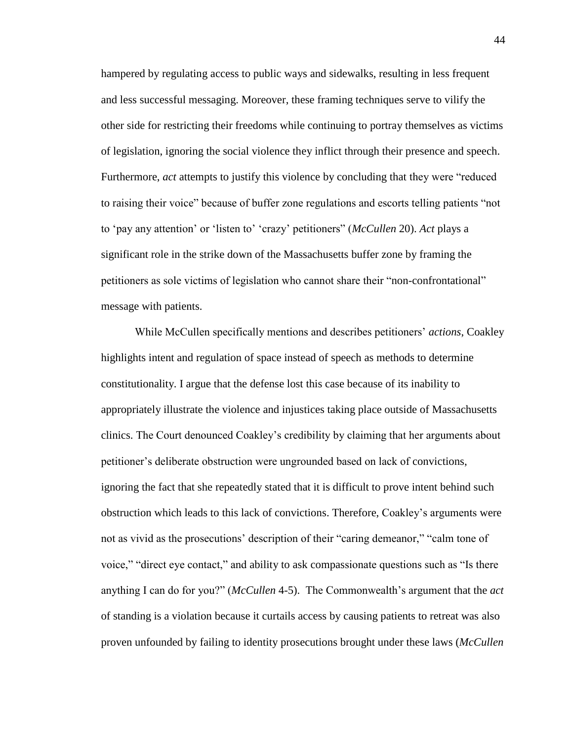hampered by regulating access to public ways and sidewalks, resulting in less frequent and less successful messaging. Moreover, these framing techniques serve to vilify the other side for restricting their freedoms while continuing to portray themselves as victims of legislation, ignoring the social violence they inflict through their presence and speech. Furthermore, *act* attempts to justify this violence by concluding that they were "reduced to raising their voice" because of buffer zone regulations and escorts telling patients "not to 'pay any attention' or 'listen to' 'crazy' petitioners" (*McCullen* 20). *Act* plays a significant role in the strike down of the Massachusetts buffer zone by framing the petitioners as sole victims of legislation who cannot share their "non-confrontational" message with patients.

While McCullen specifically mentions and describes petitioners' *actions*, Coakley highlights intent and regulation of space instead of speech as methods to determine constitutionality. I argue that the defense lost this case because of its inability to appropriately illustrate the violence and injustices taking place outside of Massachusetts clinics. The Court denounced Coakley's credibility by claiming that her arguments about petitioner's deliberate obstruction were ungrounded based on lack of convictions, ignoring the fact that she repeatedly stated that it is difficult to prove intent behind such obstruction which leads to this lack of convictions. Therefore, Coakley's arguments were not as vivid as the prosecutions' description of their "caring demeanor," "calm tone of voice," "direct eye contact," and ability to ask compassionate questions such as "Is there anything I can do for you?" (*McCullen* 4-5). The Commonwealth's argument that the *act* of standing is a violation because it curtails access by causing patients to retreat was also proven unfounded by failing to identity prosecutions brought under these laws (*McCullen*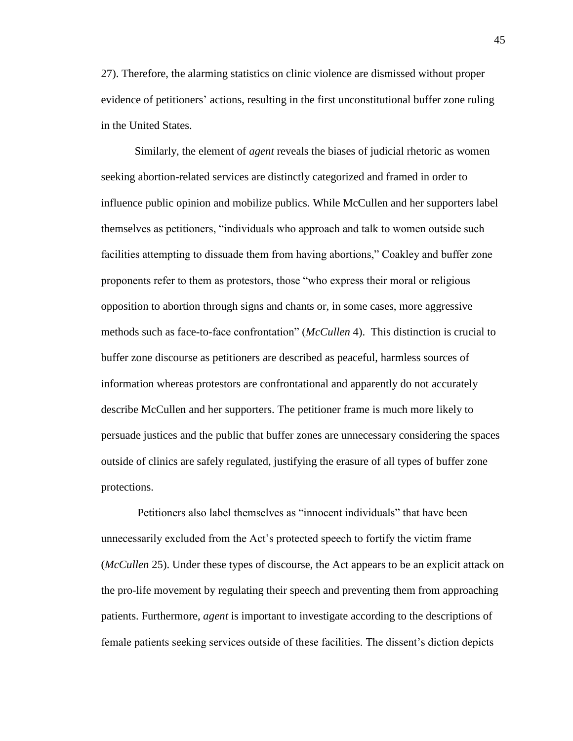27). Therefore, the alarming statistics on clinic violence are dismissed without proper evidence of petitioners' actions, resulting in the first unconstitutional buffer zone ruling in the United States.

Similarly, the element of *agent* reveals the biases of judicial rhetoric as women seeking abortion-related services are distinctly categorized and framed in order to influence public opinion and mobilize publics. While McCullen and her supporters label themselves as petitioners, "individuals who approach and talk to women outside such facilities attempting to dissuade them from having abortions," Coakley and buffer zone proponents refer to them as protestors, those "who express their moral or religious opposition to abortion through signs and chants or, in some cases, more aggressive methods such as face-to-face confrontation" (*McCullen* 4). This distinction is crucial to buffer zone discourse as petitioners are described as peaceful, harmless sources of information whereas protestors are confrontational and apparently do not accurately describe McCullen and her supporters. The petitioner frame is much more likely to persuade justices and the public that buffer zones are unnecessary considering the spaces outside of clinics are safely regulated, justifying the erasure of all types of buffer zone protections.

Petitioners also label themselves as "innocent individuals" that have been unnecessarily excluded from the Act's protected speech to fortify the victim frame (*McCullen* 25). Under these types of discourse, the Act appears to be an explicit attack on the pro-life movement by regulating their speech and preventing them from approaching patients. Furthermore, *agent* is important to investigate according to the descriptions of female patients seeking services outside of these facilities. The dissent's diction depicts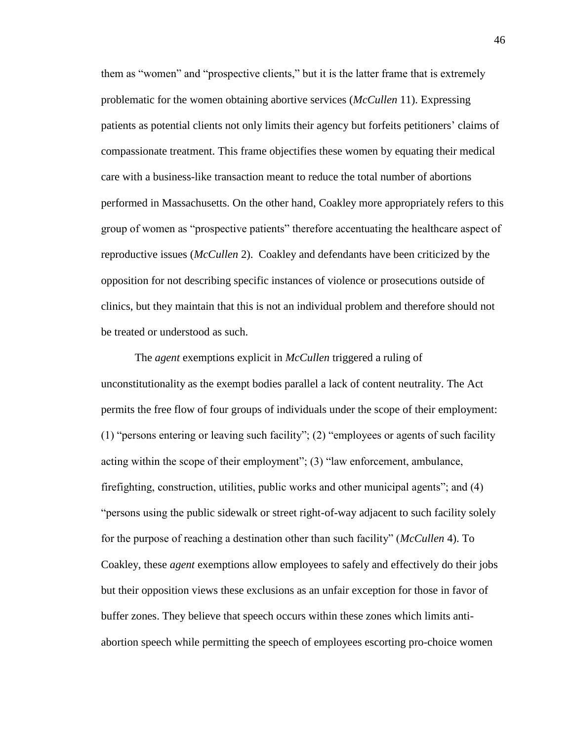them as "women" and "prospective clients," but it is the latter frame that is extremely problematic for the women obtaining abortive services (*McCullen* 11). Expressing patients as potential clients not only limits their agency but forfeits petitioners' claims of compassionate treatment. This frame objectifies these women by equating their medical care with a business-like transaction meant to reduce the total number of abortions performed in Massachusetts. On the other hand, Coakley more appropriately refers to this group of women as "prospective patients" therefore accentuating the healthcare aspect of reproductive issues (*McCullen* 2). Coakley and defendants have been criticized by the opposition for not describing specific instances of violence or prosecutions outside of clinics, but they maintain that this is not an individual problem and therefore should not be treated or understood as such.

The *agent* exemptions explicit in *McCullen* triggered a ruling of unconstitutionality as the exempt bodies parallel a lack of content neutrality. The Act permits the free flow of four groups of individuals under the scope of their employment: (1) "persons entering or leaving such facility"; (2) "employees or agents of such facility acting within the scope of their employment"; (3) "law enforcement, ambulance, firefighting, construction, utilities, public works and other municipal agents"; and (4) "persons using the public sidewalk or street right-of-way adjacent to such facility solely for the purpose of reaching a destination other than such facility" (*McCullen* 4). To Coakley, these *agent* exemptions allow employees to safely and effectively do their jobs but their opposition views these exclusions as an unfair exception for those in favor of buffer zones. They believe that speech occurs within these zones which limits antiabortion speech while permitting the speech of employees escorting pro-choice women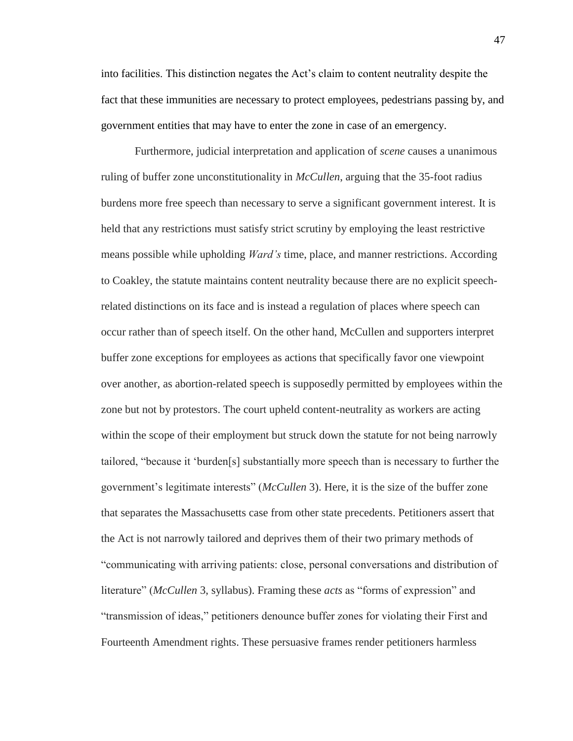into facilities. This distinction negates the Act's claim to content neutrality despite the fact that these immunities are necessary to protect employees, pedestrians passing by, and government entities that may have to enter the zone in case of an emergency.

Furthermore, judicial interpretation and application of *scene* causes a unanimous ruling of buffer zone unconstitutionality in *McCullen*, arguing that the 35-foot radius burdens more free speech than necessary to serve a significant government interest. It is held that any restrictions must satisfy strict scrutiny by employing the least restrictive means possible while upholding *Ward's* time, place, and manner restrictions. According to Coakley, the statute maintains content neutrality because there are no explicit speechrelated distinctions on its face and is instead a regulation of places where speech can occur rather than of speech itself. On the other hand, McCullen and supporters interpret buffer zone exceptions for employees as actions that specifically favor one viewpoint over another, as abortion-related speech is supposedly permitted by employees within the zone but not by protestors. The court upheld content-neutrality as workers are acting within the scope of their employment but struck down the statute for not being narrowly tailored, "because it 'burden[s] substantially more speech than is necessary to further the government's legitimate interests" (*McCullen* 3). Here, it is the size of the buffer zone that separates the Massachusetts case from other state precedents. Petitioners assert that the Act is not narrowly tailored and deprives them of their two primary methods of "communicating with arriving patients: close, personal conversations and distribution of literature" (*McCullen* 3, syllabus). Framing these *acts* as "forms of expression" and "transmission of ideas," petitioners denounce buffer zones for violating their First and Fourteenth Amendment rights. These persuasive frames render petitioners harmless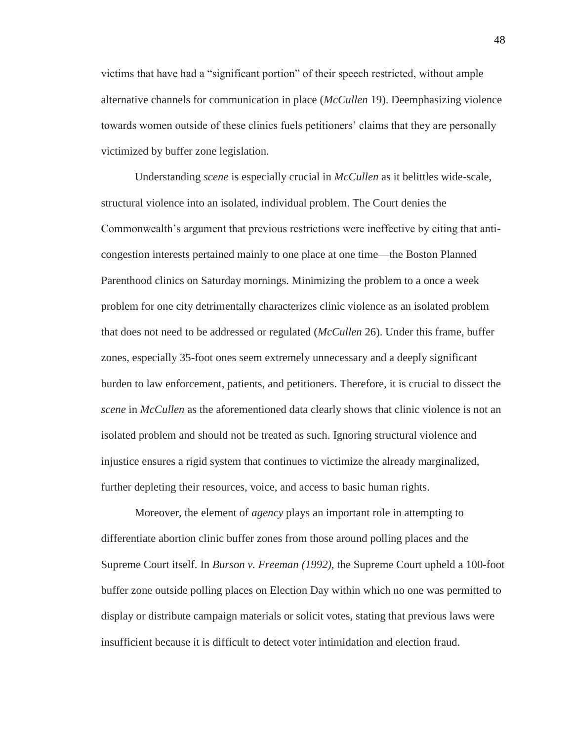victims that have had a "significant portion" of their speech restricted, without ample alternative channels for communication in place (*McCullen* 19). Deemphasizing violence towards women outside of these clinics fuels petitioners' claims that they are personally victimized by buffer zone legislation.

Understanding *scene* is especially crucial in *McCullen* as it belittles wide-scale, structural violence into an isolated, individual problem. The Court denies the Commonwealth's argument that previous restrictions were ineffective by citing that anticongestion interests pertained mainly to one place at one time—the Boston Planned Parenthood clinics on Saturday mornings. Minimizing the problem to a once a week problem for one city detrimentally characterizes clinic violence as an isolated problem that does not need to be addressed or regulated (*McCullen* 26). Under this frame, buffer zones, especially 35-foot ones seem extremely unnecessary and a deeply significant burden to law enforcement, patients, and petitioners. Therefore, it is crucial to dissect the *scene* in *McCullen* as the aforementioned data clearly shows that clinic violence is not an isolated problem and should not be treated as such. Ignoring structural violence and injustice ensures a rigid system that continues to victimize the already marginalized, further depleting their resources, voice, and access to basic human rights.

Moreover, the element of *agency* plays an important role in attempting to differentiate abortion clinic buffer zones from those around polling places and the Supreme Court itself. In *Burson v. Freeman (1992),* the Supreme Court upheld a 100-foot buffer zone outside polling places on Election Day within which no one was permitted to display or distribute campaign materials or solicit votes, stating that previous laws were insufficient because it is difficult to detect voter intimidation and election fraud.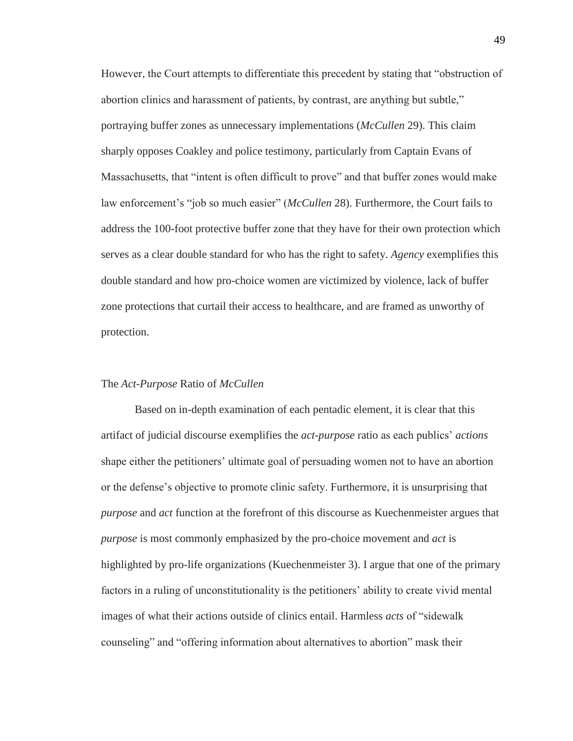However, the Court attempts to differentiate this precedent by stating that "obstruction of abortion clinics and harassment of patients, by contrast, are anything but subtle," portraying buffer zones as unnecessary implementations (*McCullen* 29). This claim sharply opposes Coakley and police testimony, particularly from Captain Evans of Massachusetts, that "intent is often difficult to prove" and that buffer zones would make law enforcement's "job so much easier" (*McCullen* 28). Furthermore, the Court fails to address the 100-foot protective buffer zone that they have for their own protection which serves as a clear double standard for who has the right to safety. *Agency* exemplifies this double standard and how pro-choice women are victimized by violence, lack of buffer zone protections that curtail their access to healthcare, and are framed as unworthy of protection.

#### The *Act-Purpose* Ratio of *McCullen*

Based on in-depth examination of each pentadic element, it is clear that this artifact of judicial discourse exemplifies the *act-purpose* ratio as each publics' *actions* shape either the petitioners' ultimate goal of persuading women not to have an abortion or the defense's objective to promote clinic safety. Furthermore, it is unsurprising that *purpose* and *act* function at the forefront of this discourse as Kuechenmeister argues that *purpose* is most commonly emphasized by the pro-choice movement and *act* is highlighted by pro-life organizations (Kuechenmeister 3). I argue that one of the primary factors in a ruling of unconstitutionality is the petitioners' ability to create vivid mental images of what their actions outside of clinics entail. Harmless *acts* of "sidewalk counseling" and "offering information about alternatives to abortion" mask their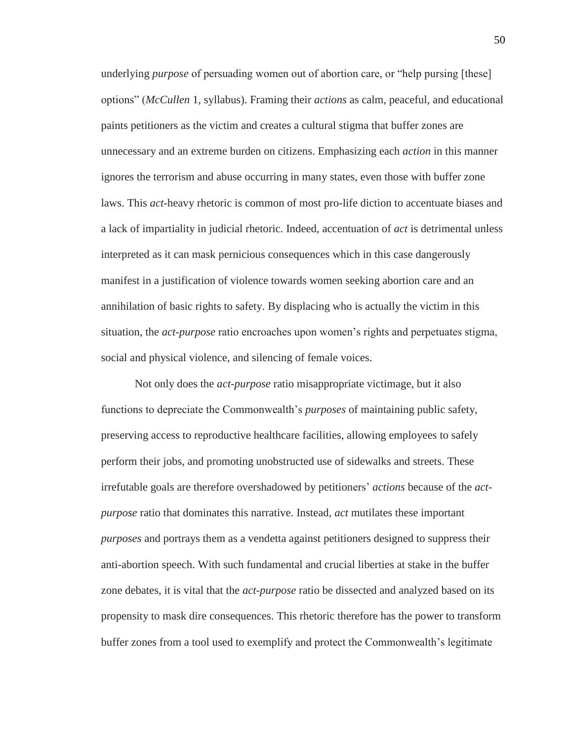underlying *purpose* of persuading women out of abortion care, or "help pursing [these] options" (*McCullen* 1, syllabus). Framing their *actions* as calm, peaceful, and educational paints petitioners as the victim and creates a cultural stigma that buffer zones are unnecessary and an extreme burden on citizens. Emphasizing each *action* in this manner ignores the terrorism and abuse occurring in many states, even those with buffer zone laws. This *act*-heavy rhetoric is common of most pro-life diction to accentuate biases and a lack of impartiality in judicial rhetoric. Indeed, accentuation of *act* is detrimental unless interpreted as it can mask pernicious consequences which in this case dangerously manifest in a justification of violence towards women seeking abortion care and an annihilation of basic rights to safety. By displacing who is actually the victim in this situation, the *act-purpose* ratio encroaches upon women's rights and perpetuates stigma, social and physical violence, and silencing of female voices.

Not only does the *act-purpose* ratio misappropriate victimage, but it also functions to depreciate the Commonwealth's *purposes* of maintaining public safety, preserving access to reproductive healthcare facilities, allowing employees to safely perform their jobs, and promoting unobstructed use of sidewalks and streets. These irrefutable goals are therefore overshadowed by petitioners' *actions* because of the *actpurpose* ratio that dominates this narrative. Instead, *act* mutilates these important *purposes* and portrays them as a vendetta against petitioners designed to suppress their anti-abortion speech. With such fundamental and crucial liberties at stake in the buffer zone debates, it is vital that the *act-purpose* ratio be dissected and analyzed based on its propensity to mask dire consequences. This rhetoric therefore has the power to transform buffer zones from a tool used to exemplify and protect the Commonwealth's legitimate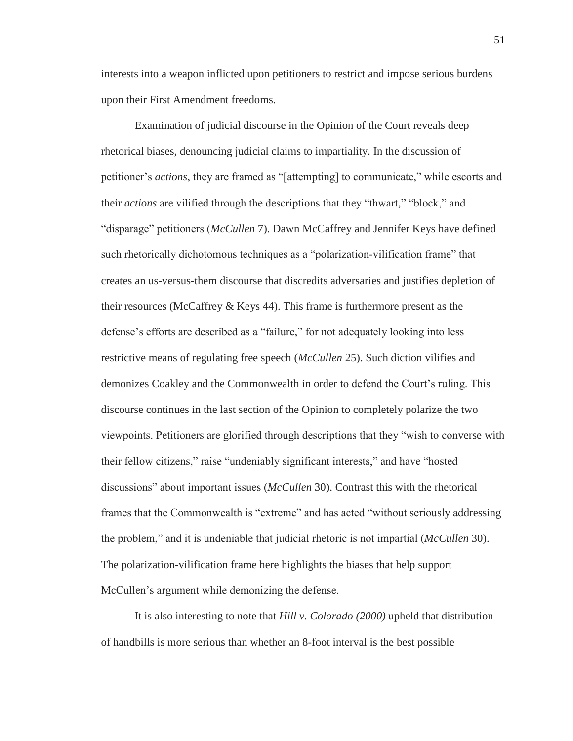interests into a weapon inflicted upon petitioners to restrict and impose serious burdens upon their First Amendment freedoms.

Examination of judicial discourse in the Opinion of the Court reveals deep rhetorical biases, denouncing judicial claims to impartiality. In the discussion of petitioner's *actions*, they are framed as "[attempting] to communicate," while escorts and their *actions* are vilified through the descriptions that they "thwart," "block," and "disparage" petitioners (*McCullen* 7). Dawn McCaffrey and Jennifer Keys have defined such rhetorically dichotomous techniques as a "polarization-vilification frame" that creates an us-versus-them discourse that discredits adversaries and justifies depletion of their resources (McCaffrey & Keys 44). This frame is furthermore present as the defense's efforts are described as a "failure," for not adequately looking into less restrictive means of regulating free speech (*McCullen* 25). Such diction vilifies and demonizes Coakley and the Commonwealth in order to defend the Court's ruling. This discourse continues in the last section of the Opinion to completely polarize the two viewpoints. Petitioners are glorified through descriptions that they "wish to converse with their fellow citizens," raise "undeniably significant interests," and have "hosted discussions" about important issues (*McCullen* 30). Contrast this with the rhetorical frames that the Commonwealth is "extreme" and has acted "without seriously addressing the problem," and it is undeniable that judicial rhetoric is not impartial (*McCullen* 30). The polarization-vilification frame here highlights the biases that help support McCullen's argument while demonizing the defense.

It is also interesting to note that *Hill v. Colorado (2000)* upheld that distribution of handbills is more serious than whether an 8-foot interval is the best possible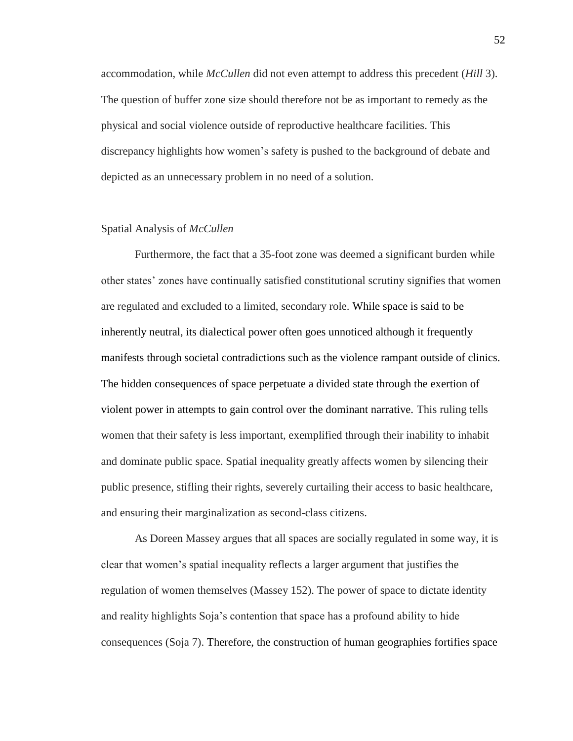accommodation, while *McCullen* did not even attempt to address this precedent (*Hill* 3). The question of buffer zone size should therefore not be as important to remedy as the physical and social violence outside of reproductive healthcare facilities. This discrepancy highlights how women's safety is pushed to the background of debate and depicted as an unnecessary problem in no need of a solution.

## Spatial Analysis of *McCullen*

Furthermore, the fact that a 35-foot zone was deemed a significant burden while other states' zones have continually satisfied constitutional scrutiny signifies that women are regulated and excluded to a limited, secondary role. While space is said to be inherently neutral, its dialectical power often goes unnoticed although it frequently manifests through societal contradictions such as the violence rampant outside of clinics. The hidden consequences of space perpetuate a divided state through the exertion of violent power in attempts to gain control over the dominant narrative. This ruling tells women that their safety is less important, exemplified through their inability to inhabit and dominate public space. Spatial inequality greatly affects women by silencing their public presence, stifling their rights, severely curtailing their access to basic healthcare, and ensuring their marginalization as second-class citizens.

As Doreen Massey argues that all spaces are socially regulated in some way, it is clear that women's spatial inequality reflects a larger argument that justifies the regulation of women themselves (Massey 152). The power of space to dictate identity and reality highlights Soja's contention that space has a profound ability to hide consequences (Soja 7). Therefore, the construction of human geographies fortifies space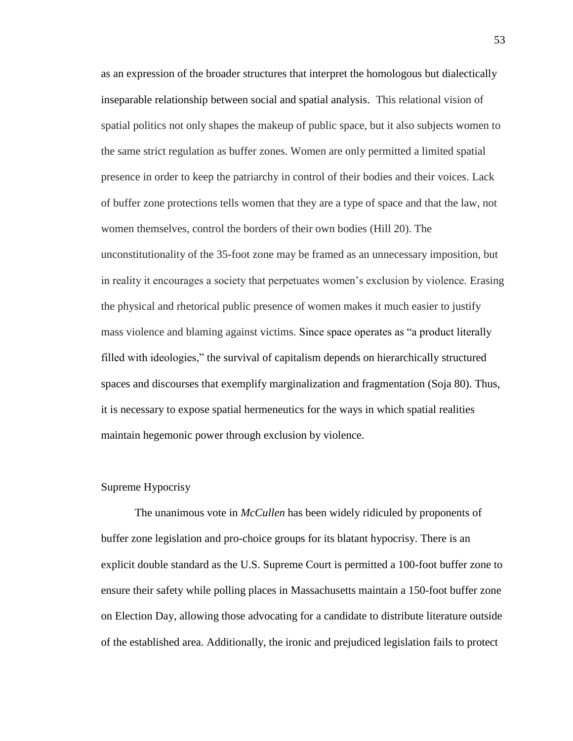as an expression of the broader structures that interpret the homologous but dialectically inseparable relationship between social and spatial analysis. This relational vision of spatial politics not only shapes the makeup of public space, but it also subjects women to the same strict regulation as buffer zones. Women are only permitted a limited spatial presence in order to keep the patriarchy in control of their bodies and their voices. Lack of buffer zone protections tells women that they are a type of space and that the law, not women themselves, control the borders of their own bodies (Hill 20). The unconstitutionality of the 35-foot zone may be framed as an unnecessary imposition, but in reality it encourages a society that perpetuates women's exclusion by violence. Erasing the physical and rhetorical public presence of women makes it much easier to justify mass violence and blaming against victims. Since space operates as "a product literally filled with ideologies," the survival of capitalism depends on hierarchically structured spaces and discourses that exemplify marginalization and fragmentation (Soja 80). Thus, it is necessary to expose spatial hermeneutics for the ways in which spatial realities maintain hegemonic power through exclusion by violence.

#### Supreme Hypocrisy

The unanimous vote in *McCullen* has been widely ridiculed by proponents of buffer zone legislation and pro-choice groups for its blatant hypocrisy. There is an explicit double standard as the U.S. Supreme Court is permitted a 100-foot buffer zone to ensure their safety while polling places in Massachusetts maintain a 150-foot buffer zone on Election Day, allowing those advocating for a candidate to distribute literature outside of the established area. Additionally, the ironic and prejudiced legislation fails to protect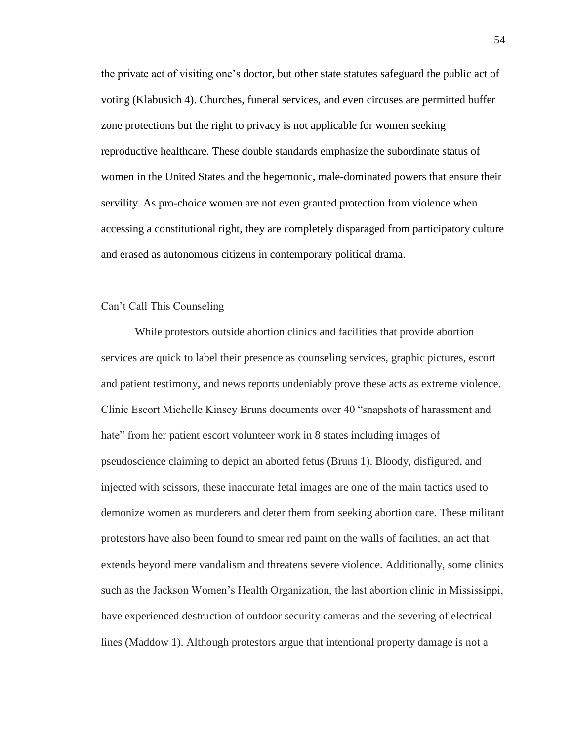the private act of visiting one's doctor, but other state statutes safeguard the public act of voting (Klabusich 4). Churches, funeral services, and even circuses are permitted buffer zone protections but the right to privacy is not applicable for women seeking reproductive healthcare. These double standards emphasize the subordinate status of women in the United States and the hegemonic, male-dominated powers that ensure their servility. As pro-choice women are not even granted protection from violence when accessing a constitutional right, they are completely disparaged from participatory culture and erased as autonomous citizens in contemporary political drama.

## Can't Call This Counseling

While protestors outside abortion clinics and facilities that provide abortion services are quick to label their presence as counseling services, graphic pictures, escort and patient testimony, and news reports undeniably prove these acts as extreme violence. Clinic Escort Michelle Kinsey Bruns documents over 40 "snapshots of harassment and hate" from her patient escort volunteer work in 8 states including images of pseudoscience claiming to depict an aborted fetus (Bruns 1). Bloody, disfigured, and injected with scissors, these inaccurate fetal images are one of the main tactics used to demonize women as murderers and deter them from seeking abortion care. These militant protestors have also been found to smear red paint on the walls of facilities, an act that extends beyond mere vandalism and threatens severe violence. Additionally, some clinics such as the Jackson Women's Health Organization, the last abortion clinic in Mississippi, have experienced destruction of outdoor security cameras and the severing of electrical lines (Maddow 1). Although protestors argue that intentional property damage is not a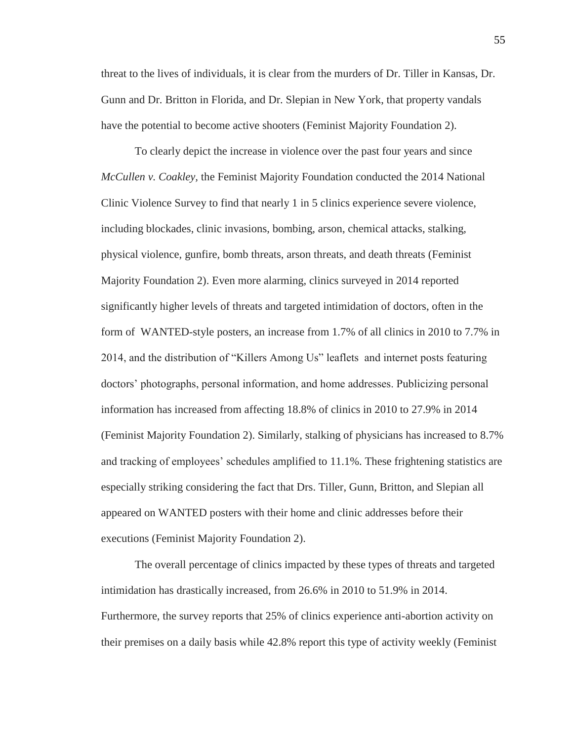threat to the lives of individuals, it is clear from the murders of Dr. Tiller in Kansas, Dr. Gunn and Dr. Britton in Florida, and Dr. Slepian in New York, that property vandals have the potential to become active shooters (Feminist Majority Foundation 2).

To clearly depict the increase in violence over the past four years and since *McCullen v. Coakley,* the Feminist Majority Foundation conducted the 2014 National Clinic Violence Survey to find that nearly 1 in 5 clinics experience severe violence, including blockades, clinic invasions, bombing, arson, chemical attacks, stalking, physical violence, gunfire, bomb threats, arson threats, and death threats (Feminist Majority Foundation 2). Even more alarming, clinics surveyed in 2014 reported significantly higher levels of threats and targeted intimidation of doctors, often in the form of WANTED-style posters, an increase from 1.7% of all clinics in 2010 to 7.7% in 2014, and the distribution of "Killers Among Us" leaflets and internet posts featuring doctors' photographs, personal information, and home addresses. Publicizing personal information has increased from affecting 18.8% of clinics in 2010 to 27.9% in 2014 (Feminist Majority Foundation 2). Similarly, stalking of physicians has increased to 8.7% and tracking of employees' schedules amplified to 11.1%. These frightening statistics are especially striking considering the fact that Drs. Tiller, Gunn, Britton, and Slepian all appeared on WANTED posters with their home and clinic addresses before their executions (Feminist Majority Foundation 2).

The overall percentage of clinics impacted by these types of threats and targeted intimidation has drastically increased, from 26.6% in 2010 to 51.9% in 2014. Furthermore, the survey reports that 25% of clinics experience anti-abortion activity on their premises on a daily basis while 42.8% report this type of activity weekly (Feminist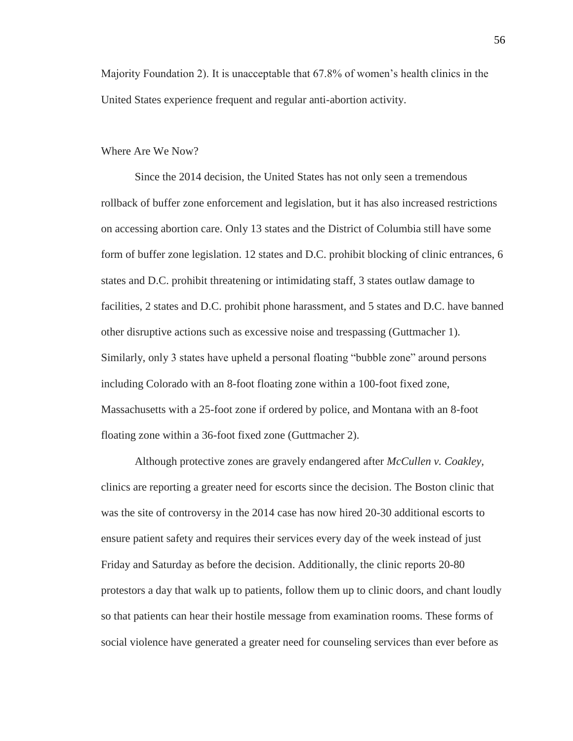Majority Foundation 2). It is unacceptable that 67.8% of women's health clinics in the United States experience frequent and regular anti-abortion activity.

#### Where Are We Now?

Since the 2014 decision, the United States has not only seen a tremendous rollback of buffer zone enforcement and legislation, but it has also increased restrictions on accessing abortion care. Only 13 states and the District of Columbia still have some form of buffer zone legislation. 12 states and D.C. prohibit blocking of clinic entrances, 6 states and D.C. prohibit threatening or intimidating staff, 3 states outlaw damage to facilities, 2 states and D.C. prohibit phone harassment, and 5 states and D.C. have banned other disruptive actions such as excessive noise and trespassing (Guttmacher 1). Similarly, only 3 states have upheld a personal floating "bubble zone" around persons including Colorado with an 8-foot floating zone within a 100-foot fixed zone, Massachusetts with a 25-foot zone if ordered by police, and Montana with an 8-foot floating zone within a 36-foot fixed zone (Guttmacher 2).

Although protective zones are gravely endangered after *McCullen v. Coakley,*  clinics are reporting a greater need for escorts since the decision. The Boston clinic that was the site of controversy in the 2014 case has now hired 20-30 additional escorts to ensure patient safety and requires their services every day of the week instead of just Friday and Saturday as before the decision. Additionally, the clinic reports 20-80 protestors a day that walk up to patients, follow them up to clinic doors, and chant loudly so that patients can hear their hostile message from examination rooms. These forms of social violence have generated a greater need for counseling services than ever before as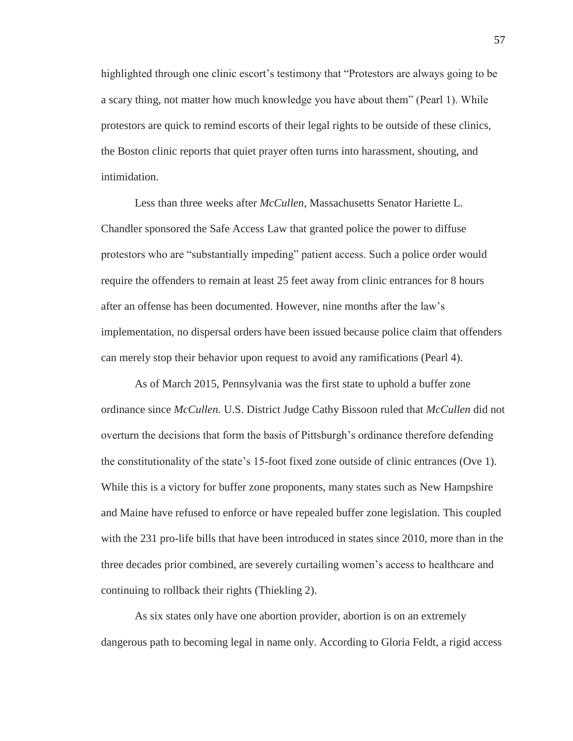highlighted through one clinic escort's testimony that "Protestors are always going to be a scary thing, not matter how much knowledge you have about them" (Pearl 1). While protestors are quick to remind escorts of their legal rights to be outside of these clinics, the Boston clinic reports that quiet prayer often turns into harassment, shouting, and intimidation.

Less than three weeks after *McCullen,* Massachusetts Senator Hariette L. Chandler sponsored the Safe Access Law that granted police the power to diffuse protestors who are "substantially impeding" patient access. Such a police order would require the offenders to remain at least 25 feet away from clinic entrances for 8 hours after an offense has been documented. However, nine months after the law's implementation, no dispersal orders have been issued because police claim that offenders can merely stop their behavior upon request to avoid any ramifications (Pearl 4).

As of March 2015, Pennsylvania was the first state to uphold a buffer zone ordinance since *McCullen.* U.S. District Judge Cathy Bissoon ruled that *McCullen* did not overturn the decisions that form the basis of Pittsburgh's ordinance therefore defending the constitutionality of the state's 15-foot fixed zone outside of clinic entrances (Ove 1). While this is a victory for buffer zone proponents, many states such as New Hampshire and Maine have refused to enforce or have repealed buffer zone legislation. This coupled with the 231 pro-life bills that have been introduced in states since 2010, more than in the three decades prior combined, are severely curtailing women's access to healthcare and continuing to rollback their rights (Thiekling 2).

As six states only have one abortion provider, abortion is on an extremely dangerous path to becoming legal in name only. According to Gloria Feldt, a rigid access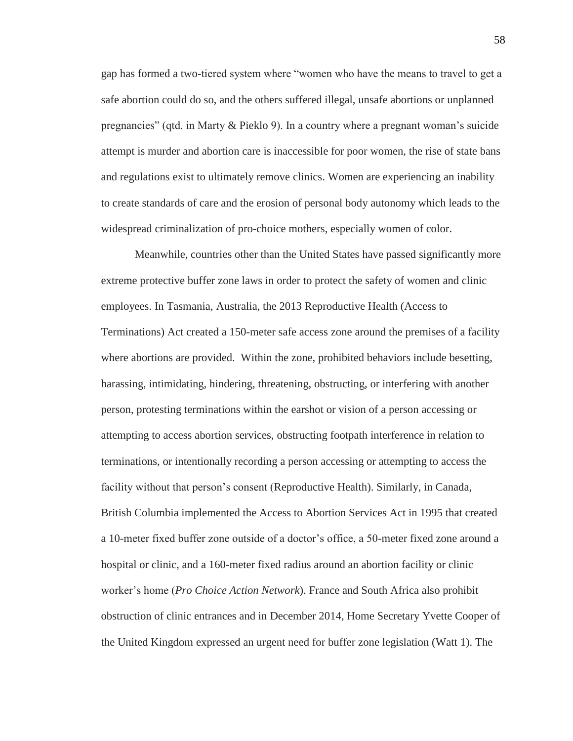gap has formed a two-tiered system where "women who have the means to travel to get a safe abortion could do so, and the others suffered illegal, unsafe abortions or unplanned pregnancies" (qtd. in Marty & Pieklo 9). In a country where a pregnant woman's suicide attempt is murder and abortion care is inaccessible for poor women, the rise of state bans and regulations exist to ultimately remove clinics. Women are experiencing an inability to create standards of care and the erosion of personal body autonomy which leads to the widespread criminalization of pro-choice mothers, especially women of color.

Meanwhile, countries other than the United States have passed significantly more extreme protective buffer zone laws in order to protect the safety of women and clinic employees. In Tasmania, Australia, the 2013 Reproductive Health (Access to Terminations) Act created a 150-meter safe access zone around the premises of a facility where abortions are provided. Within the zone, prohibited behaviors include besetting, harassing, intimidating, hindering, threatening, obstructing, or interfering with another person, protesting terminations within the earshot or vision of a person accessing or attempting to access abortion services, obstructing footpath interference in relation to terminations, or intentionally recording a person accessing or attempting to access the facility without that person's consent (Reproductive Health). Similarly, in Canada, British Columbia implemented the Access to Abortion Services Act in 1995 that created a 10-meter fixed buffer zone outside of a doctor's office, a 50-meter fixed zone around a hospital or clinic, and a 160-meter fixed radius around an abortion facility or clinic worker's home (*Pro Choice Action Network*). France and South Africa also prohibit obstruction of clinic entrances and in December 2014, Home Secretary Yvette Cooper of the United Kingdom expressed an urgent need for buffer zone legislation (Watt 1). The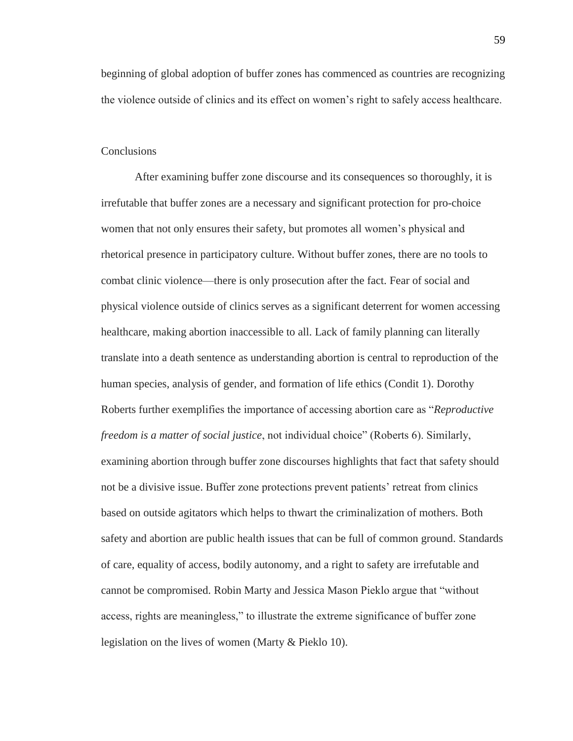beginning of global adoption of buffer zones has commenced as countries are recognizing the violence outside of clinics and its effect on women's right to safely access healthcare.

## **Conclusions**

After examining buffer zone discourse and its consequences so thoroughly, it is irrefutable that buffer zones are a necessary and significant protection for pro-choice women that not only ensures their safety, but promotes all women's physical and rhetorical presence in participatory culture. Without buffer zones, there are no tools to combat clinic violence—there is only prosecution after the fact. Fear of social and physical violence outside of clinics serves as a significant deterrent for women accessing healthcare, making abortion inaccessible to all. Lack of family planning can literally translate into a death sentence as understanding abortion is central to reproduction of the human species, analysis of gender, and formation of life ethics (Condit 1). Dorothy Roberts further exemplifies the importance of accessing abortion care as "*Reproductive freedom is a matter of social justice*, not individual choice" (Roberts 6). Similarly, examining abortion through buffer zone discourses highlights that fact that safety should not be a divisive issue. Buffer zone protections prevent patients' retreat from clinics based on outside agitators which helps to thwart the criminalization of mothers. Both safety and abortion are public health issues that can be full of common ground. Standards of care, equality of access, bodily autonomy, and a right to safety are irrefutable and cannot be compromised. Robin Marty and Jessica Mason Pieklo argue that "without access, rights are meaningless," to illustrate the extreme significance of buffer zone legislation on the lives of women (Marty & Pieklo 10).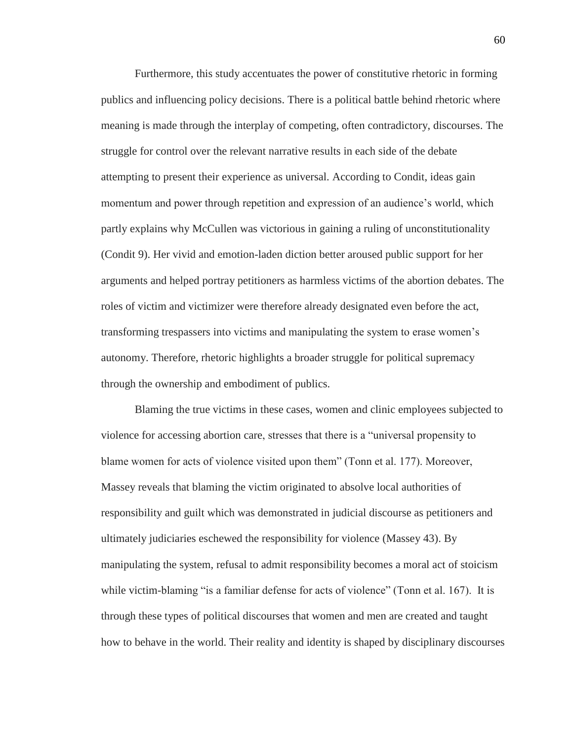Furthermore, this study accentuates the power of constitutive rhetoric in forming publics and influencing policy decisions. There is a political battle behind rhetoric where meaning is made through the interplay of competing, often contradictory, discourses. The struggle for control over the relevant narrative results in each side of the debate attempting to present their experience as universal. According to Condit, ideas gain momentum and power through repetition and expression of an audience's world, which partly explains why McCullen was victorious in gaining a ruling of unconstitutionality (Condit 9). Her vivid and emotion-laden diction better aroused public support for her arguments and helped portray petitioners as harmless victims of the abortion debates. The roles of victim and victimizer were therefore already designated even before the act, transforming trespassers into victims and manipulating the system to erase women's autonomy. Therefore, rhetoric highlights a broader struggle for political supremacy through the ownership and embodiment of publics.

Blaming the true victims in these cases, women and clinic employees subjected to violence for accessing abortion care, stresses that there is a "universal propensity to blame women for acts of violence visited upon them" (Tonn et al. 177). Moreover, Massey reveals that blaming the victim originated to absolve local authorities of responsibility and guilt which was demonstrated in judicial discourse as petitioners and ultimately judiciaries eschewed the responsibility for violence (Massey 43). By manipulating the system, refusal to admit responsibility becomes a moral act of stoicism while victim-blaming "is a familiar defense for acts of violence" (Tonn et al. 167). It is through these types of political discourses that women and men are created and taught how to behave in the world. Their reality and identity is shaped by disciplinary discourses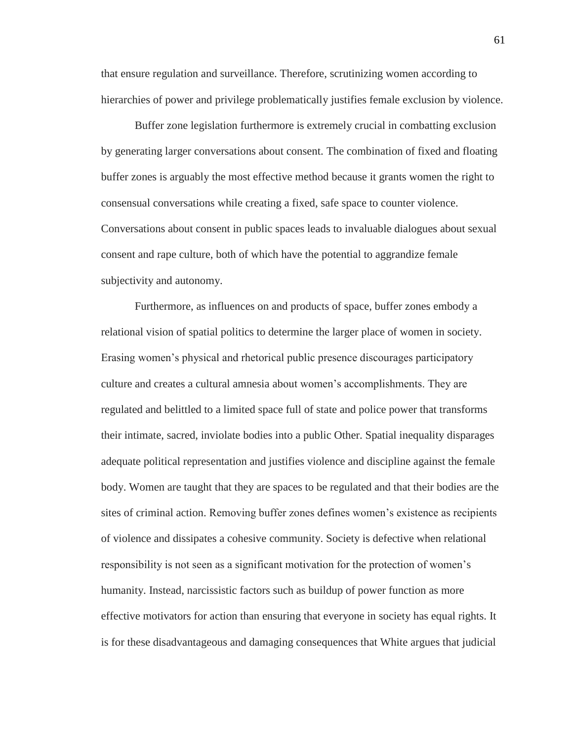that ensure regulation and surveillance. Therefore, scrutinizing women according to hierarchies of power and privilege problematically justifies female exclusion by violence.

Buffer zone legislation furthermore is extremely crucial in combatting exclusion by generating larger conversations about consent. The combination of fixed and floating buffer zones is arguably the most effective method because it grants women the right to consensual conversations while creating a fixed, safe space to counter violence. Conversations about consent in public spaces leads to invaluable dialogues about sexual consent and rape culture, both of which have the potential to aggrandize female subjectivity and autonomy.

Furthermore, as influences on and products of space, buffer zones embody a relational vision of spatial politics to determine the larger place of women in society. Erasing women's physical and rhetorical public presence discourages participatory culture and creates a cultural amnesia about women's accomplishments. They are regulated and belittled to a limited space full of state and police power that transforms their intimate, sacred, inviolate bodies into a public Other. Spatial inequality disparages adequate political representation and justifies violence and discipline against the female body. Women are taught that they are spaces to be regulated and that their bodies are the sites of criminal action. Removing buffer zones defines women's existence as recipients of violence and dissipates a cohesive community. Society is defective when relational responsibility is not seen as a significant motivation for the protection of women's humanity. Instead, narcissistic factors such as buildup of power function as more effective motivators for action than ensuring that everyone in society has equal rights. It is for these disadvantageous and damaging consequences that White argues that judicial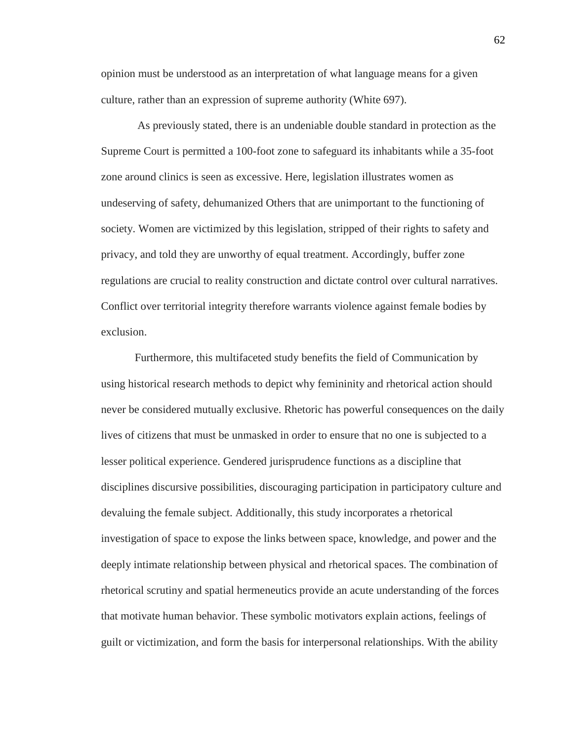opinion must be understood as an interpretation of what language means for a given culture, rather than an expression of supreme authority (White 697).

As previously stated, there is an undeniable double standard in protection as the Supreme Court is permitted a 100-foot zone to safeguard its inhabitants while a 35-foot zone around clinics is seen as excessive. Here, legislation illustrates women as undeserving of safety, dehumanized Others that are unimportant to the functioning of society. Women are victimized by this legislation, stripped of their rights to safety and privacy, and told they are unworthy of equal treatment. Accordingly, buffer zone regulations are crucial to reality construction and dictate control over cultural narratives. Conflict over territorial integrity therefore warrants violence against female bodies by exclusion.

Furthermore, this multifaceted study benefits the field of Communication by using historical research methods to depict why femininity and rhetorical action should never be considered mutually exclusive. Rhetoric has powerful consequences on the daily lives of citizens that must be unmasked in order to ensure that no one is subjected to a lesser political experience. Gendered jurisprudence functions as a discipline that disciplines discursive possibilities, discouraging participation in participatory culture and devaluing the female subject. Additionally, this study incorporates a rhetorical investigation of space to expose the links between space, knowledge, and power and the deeply intimate relationship between physical and rhetorical spaces. The combination of rhetorical scrutiny and spatial hermeneutics provide an acute understanding of the forces that motivate human behavior. These symbolic motivators explain actions, feelings of guilt or victimization, and form the basis for interpersonal relationships. With the ability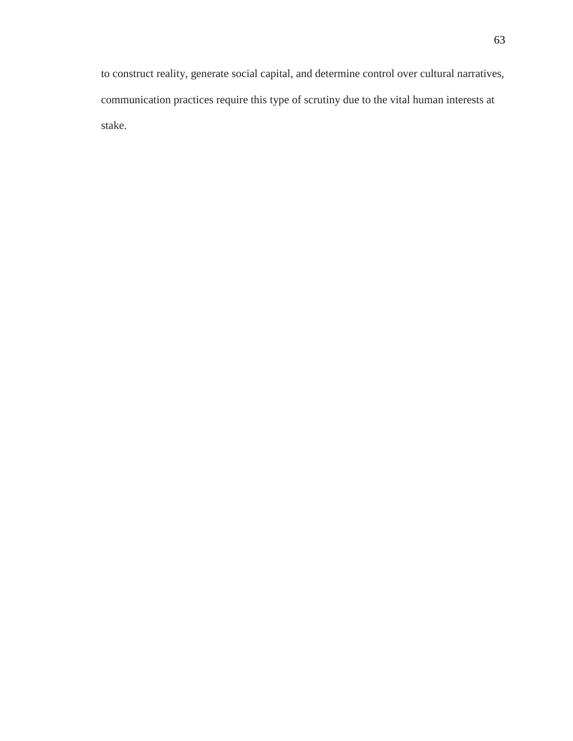to construct reality, generate social capital, and determine control over cultural narratives, communication practices require this type of scrutiny due to the vital human interests at stake.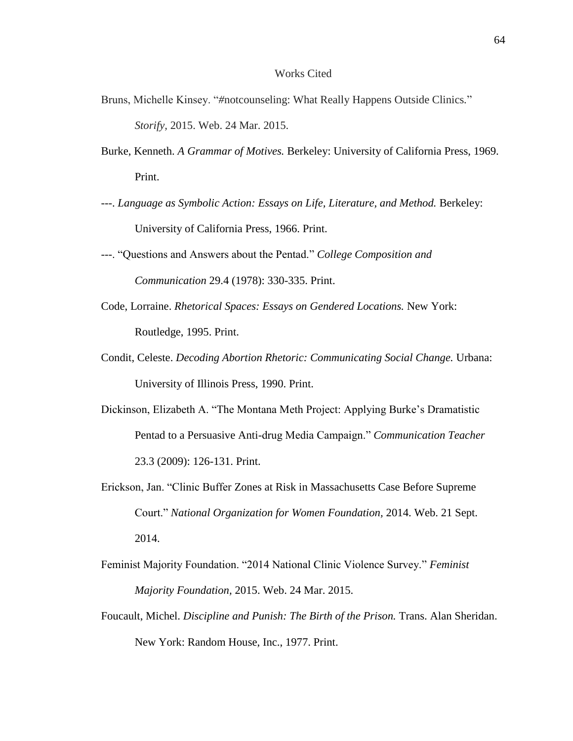## Works Cited

- Bruns, Michelle Kinsey. "*#*notcounseling: What Really Happens Outside Clinics*.*" *Storify,* 2015. Web. 24 Mar. 2015.
- Burke, Kenneth. *A Grammar of Motives.* Berkeley: University of California Press, 1969. Print.
- *---*. *Language as Symbolic Action: Essays on Life, Literature, and Method.* Berkeley: University of California Press, 1966. Print.
- *-*--. "Questions and Answers about the Pentad." *College Composition and Communication* 29.4 (1978): 330-335. Print.
- Code, Lorraine. *Rhetorical Spaces: Essays on Gendered Locations.* New York: Routledge, 1995. Print.
- Condit, Celeste. *Decoding Abortion Rhetoric: Communicating Social Change.* Urbana: University of Illinois Press, 1990. Print.
- Dickinson, Elizabeth A. "The Montana Meth Project: Applying Burke's Dramatistic Pentad to a Persuasive Anti-drug Media Campaign." *Communication Teacher* 23.3 (2009): 126-131. Print.
- Erickson, Jan. "Clinic Buffer Zones at Risk in Massachusetts Case Before Supreme Court." *National Organization for Women Foundation,* 2014. Web. 21 Sept. 2014.
- Feminist Majority Foundation. "2014 National Clinic Violence Survey." *Feminist Majority Foundation,* 2015. Web. 24 Mar. 2015.
- Foucault, Michel. *Discipline and Punish: The Birth of the Prison*. Trans. Alan Sheridan. New York: Random House, Inc., 1977. Print.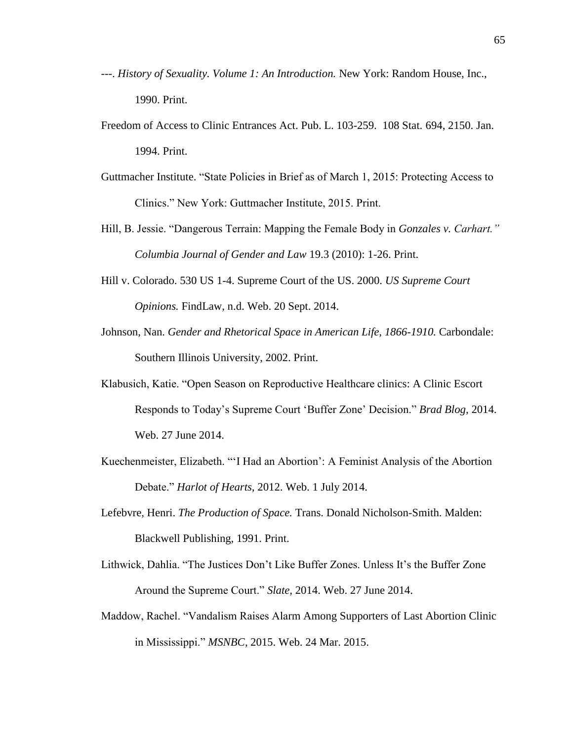- ---. *History of Sexuality. Volume 1: An Introduction.* New York: Random House, Inc., 1990. Print.
- Freedom of Access to Clinic Entrances Act. Pub. L. 103-259. 108 Stat. 694, 2150. Jan. 1994. Print.
- Guttmacher Institute. "State Policies in Brief as of March 1, 2015: Protecting Access to Clinics." New York: Guttmacher Institute, 2015. Print.
- Hill, B. Jessie. "Dangerous Terrain: Mapping the Female Body in *Gonzales v. Carhart." Columbia Journal of Gender and Law* 19.3 (2010): 1-26. Print.
- Hill v. Colorado. 530 US 1-4. Supreme Court of the US. 2000. *US Supreme Court Opinions.* FindLaw, n.d. Web. 20 Sept. 2014.
- Johnson, Nan. *Gender and Rhetorical Space in American Life, 1866-1910*. Carbondale: Southern Illinois University, 2002. Print.
- Klabusich, Katie. "Open Season on Reproductive Healthcare clinics: A Clinic Escort Responds to Today's Supreme Court 'Buffer Zone' Decision." *Brad Blog,* 2014. Web. 27 June 2014.
- Kuechenmeister, Elizabeth. "'I Had an Abortion': A Feminist Analysis of the Abortion Debate." *Harlot of Hearts,* 2012. Web. 1 July 2014.
- Lefebvre, Henri. *The Production of Space.* Trans. Donald Nicholson-Smith. Malden: Blackwell Publishing, 1991. Print.
- Lithwick, Dahlia. "The Justices Don't Like Buffer Zones. Unless It's the Buffer Zone Around the Supreme Court." *Slate,* 2014. Web. 27 June 2014.
- Maddow, Rachel. "Vandalism Raises Alarm Among Supporters of Last Abortion Clinic in Mississippi." *MSNBC*, 2015. Web. 24 Mar. 2015.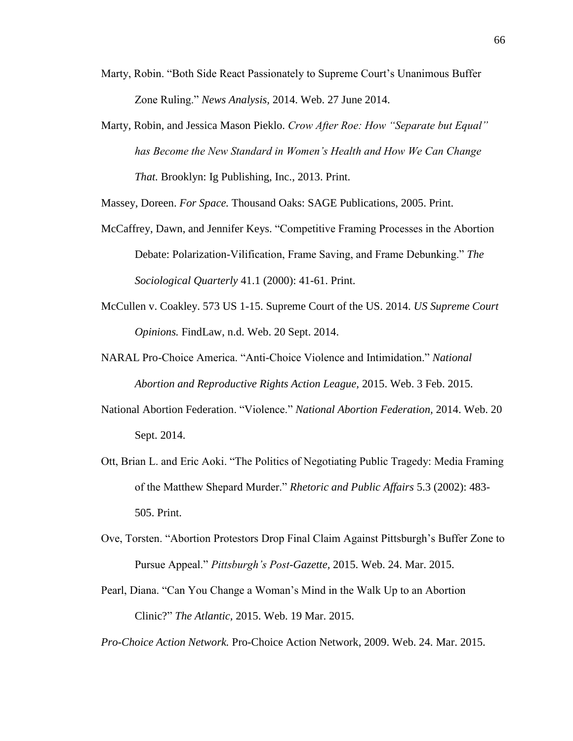- Marty, Robin. "Both Side React Passionately to Supreme Court's Unanimous Buffer Zone Ruling." *News Analysis,* 2014. Web. 27 June 2014.
- Marty, Robin, and Jessica Mason Pieklo. *Crow After Roe: How "Separate but Equal" has Become the New Standard in Women's Health and How We Can Change That.* Brooklyn: Ig Publishing, Inc., 2013. Print.

Massey, Doreen. *For Space.* Thousand Oaks: SAGE Publications, 2005. Print.

- McCaffrey, Dawn, and Jennifer Keys. "Competitive Framing Processes in the Abortion Debate: Polarization-Vilification, Frame Saving, and Frame Debunking." *The Sociological Quarterly* 41.1 (2000): 41-61. Print.
- McCullen v. Coakley. 573 US 1-15. Supreme Court of the US. 2014. *US Supreme Court Opinions.* FindLaw, n.d. Web. 20 Sept. 2014.
- NARAL Pro-Choice America. "Anti-Choice Violence and Intimidation." *National Abortion and Reproductive Rights Action League,* 2015. Web. 3 Feb. 2015.
- National Abortion Federation. "Violence." *National Abortion Federation,* 2014. Web. 20 Sept. 2014.
- Ott, Brian L. and Eric Aoki. "The Politics of Negotiating Public Tragedy: Media Framing of the Matthew Shepard Murder." *Rhetoric and Public Affairs* 5.3 (2002): 483- 505. Print.
- Ove, Torsten. "Abortion Protestors Drop Final Claim Against Pittsburgh's Buffer Zone to Pursue Appeal." *Pittsburgh's Post-Gazette,* 2015. Web. 24. Mar. 2015.
- Pearl, Diana. "Can You Change a Woman's Mind in the Walk Up to an Abortion Clinic?" *The Atlantic,* 2015. Web. 19 Mar. 2015.

*Pro-Choice Action Network.* Pro-Choice Action Network, 2009. Web. 24. Mar. 2015.